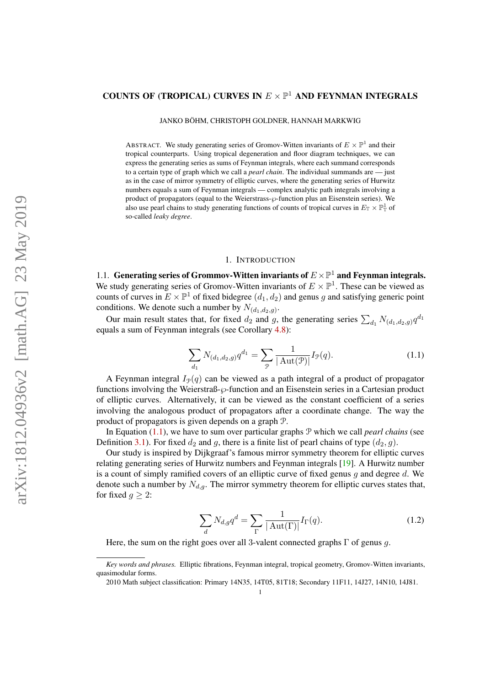# COUNTS OF (TROPICAL) CURVES IN  $E\times\mathbb{P}^1$  and feynman integrals

JANKO BÖHM, CHRISTOPH GOLDNER, HANNAH MARKWIG

ABSTRACT. We study generating series of Gromov-Witten invariants of  $E \times \mathbb{P}^1$  and their tropical counterparts. Using tropical degeneration and floor diagram techniques, we can express the generating series as sums of Feynman integrals, where each summand corresponds to a certain type of graph which we call a *pearl chain*. The individual summands are — just as in the case of mirror symmetry of elliptic curves, where the generating series of Hurwitz numbers equals a sum of Feynman integrals — complex analytic path integrals involving a product of propagators (equal to the Weierstrass- $\wp$ -function plus an Eisenstein series). We also use pearl chains to study generating functions of counts of tropical curves in  $E_{\mathbb{T}} \times \mathbb{P}^1_{\mathbb{T}}$  of so-called *leaky degree*.

#### 1. INTRODUCTION

1.1. Generating series of Grommov-Witten invariants of  $E\times\mathbb{P}^1$  and Feynman integrals. We study generating series of Gromov-Witten invariants of  $E \times \mathbb{P}^1$ . These can be viewed as counts of curves in  $E \times \mathbb{P}^1$  of fixed bidegree  $(d_1, d_2)$  and genus g and satisfying generic point conditions. We denote such a number by  $N_{(d_1,d_2,g)}$ .

Our main result states that, for fixed  $d_2$  and g, the generating series  $\sum_{d_1} N_{(d_1,d_2,g)} q^{d_1}$ equals a sum of Feynman integrals (see Corollary [4.8\)](#page-18-0):

<span id="page-0-0"></span>
$$
\sum_{d_1} N_{(d_1, d_2, g)} q^{d_1} = \sum_{\mathcal{P}} \frac{1}{|\operatorname{Aut}(\mathcal{P})|} I_{\mathcal{P}}(q). \tag{1.1}
$$

A Feynman integral  $I_{\mathcal{P}}(q)$  can be viewed as a path integral of a product of propagator functions involving the Weierstraß-<sub> $\mathcal{O}$ -function and an Eisenstein series in a Cartesian product</sub> of elliptic curves. Alternatively, it can be viewed as the constant coefficient of a series involving the analogous product of propagators after a coordinate change. The way the product of propagators is given depends on a graph P.

In Equation [\(1.1\)](#page-0-0), we have to sum over particular graphs P which we call *pearl chains* (see Definition [3.1\)](#page-12-0). For fixed  $d_2$  and g, there is a finite list of pearl chains of type  $(d_2, g)$ .

Our study is inspired by Dijkgraaf's famous mirror symmetry theorem for elliptic curves relating generating series of Hurwitz numbers and Feynman integrals [\[19\]](#page-24-0). A Hurwitz number is a count of simply ramified covers of an elliptic curve of fixed genus  $g$  and degree  $d$ . We denote such a number by  $N_{d,q}$ . The mirror symmetry theorem for elliptic curves states that, for fixed  $q \geq 2$ :

<span id="page-0-1"></span>
$$
\sum_{d} N_{d,g} q^d = \sum_{\Gamma} \frac{1}{|\operatorname{Aut}(\Gamma)|} I_{\Gamma}(q). \tag{1.2}
$$

Here, the sum on the right goes over all 3-valent connected graphs  $\Gamma$  of genus g.

*Key words and phrases.* Elliptic fibrations, Feynman integral, tropical geometry, Gromov-Witten invariants, quasimodular forms.

<sup>2010</sup> Math subject classification: Primary 14N35, 14T05, 81T18; Secondary 11F11, 14J27, 14N10, 14J81.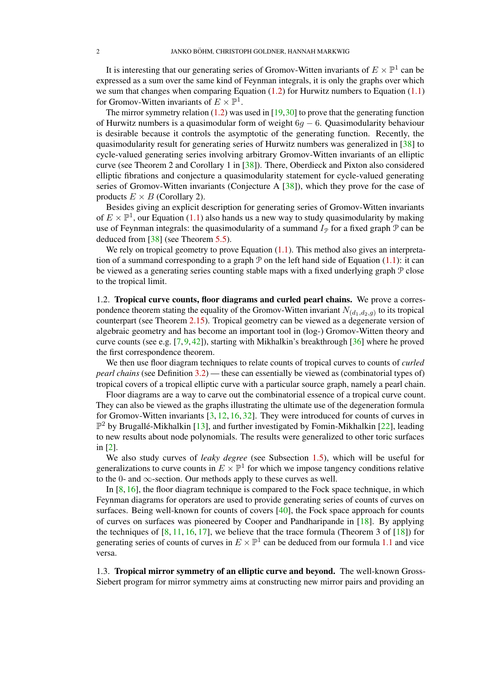It is interesting that our generating series of Gromov-Witten invariants of  $E \times \mathbb{P}^1$  can be expressed as a sum over the same kind of Feynman integrals, it is only the graphs over which we sum that changes when comparing Equation  $(1.2)$  for Hurwitz numbers to Equation  $(1.1)$ for Gromov-Witten invariants of  $E \times \mathbb{P}^1$ .

The mirror symmetry relation  $(1.2)$  was used in  $[19,30]$  $[19,30]$  to prove that the generating function of Hurwitz numbers is a quasimodular form of weight  $6q - 6$ . Quasimodularity behaviour is desirable because it controls the asymptotic of the generating function. Recently, the quasimodularity result for generating series of Hurwitz numbers was generalized in [\[38\]](#page-25-0) to cycle-valued generating series involving arbitrary Gromov-Witten invariants of an elliptic curve (see Theorem 2 and Corollary 1 in [\[38\]](#page-25-0)). There, Oberdieck and Pixton also considered elliptic fibrations and conjecture a quasimodularity statement for cycle-valued generating series of Gromov-Witten invariants (Conjecture A [\[38\]](#page-25-0)), which they prove for the case of products  $E \times B$  (Corollary 2).

Besides giving an explicit description for generating series of Gromov-Witten invariants of  $E \times \mathbb{P}^1$ , our Equation [\(1.1\)](#page-0-0) also hands us a new way to study quasimodularity by making use of Feynman integrals: the quasimodularity of a summand  $I_{\mathcal{P}}$  for a fixed graph  $\mathcal{P}$  can be deduced from [\[38\]](#page-25-0) (see Theorem [5.5\)](#page-23-0).

We rely on tropical geometry to prove Equation  $(1.1)$ . This method also gives an interpretation of a summand corresponding to a graph  $\mathcal P$  on the left hand side of Equation [\(1.1\)](#page-0-0): it can be viewed as a generating series counting stable maps with a fixed underlying graph P close to the tropical limit.

1.2. Tropical curve counts, floor diagrams and curled pearl chains. We prove a correspondence theorem stating the equality of the Gromov-Witten invariant  $N_{(d_1,d_2,g)}$  to its tropical counterpart (see Theorem [2.15\)](#page-11-0). Tropical geometry can be viewed as a degenerate version of algebraic geometry and has become an important tool in (log-) Gromov-Witten theory and curve counts (see e.g.  $[7, 9, 42]$  $[7, 9, 42]$  $[7, 9, 42]$  $[7, 9, 42]$  $[7, 9, 42]$ ), starting with Mikhalkin's breakthrough  $[36]$  where he proved the first correspondence theorem.

We then use floor diagram techniques to relate counts of tropical curves to counts of *curled pearl chains* (see Definition [3.2\)](#page-12-1) — these can essentially be viewed as (combinatorial types of) tropical covers of a tropical elliptic curve with a particular source graph, namely a pearl chain.

Floor diagrams are a way to carve out the combinatorial essence of a tropical curve count. They can also be viewed as the graphs illustrating the ultimate use of the degeneration formula for Gromov-Witten invariants [\[3,](#page-23-1) [12,](#page-24-4) [16,](#page-24-5) [32\]](#page-24-6). They were introduced for counts of curves in  $\mathbb{P}^2$  by Brugallé-Mikhalkin [[13\]](#page-24-7), and further investigated by Fomin-Mikhalkin [\[22\]](#page-24-8), leading to new results about node polynomials. The results were generalized to other toric surfaces in [\[2\]](#page-23-2).

We also study curves of *leaky degree* (see Subsection [1.5\)](#page-3-0), which will be useful for generalizations to curve counts in  $E \times \mathbb{P}^1$  for which we impose tangency conditions relative to the 0- and  $\infty$ -section. Our methods apply to these curves as well.

In  $[8, 16]$  $[8, 16]$  $[8, 16]$ , the floor diagram technique is compared to the Fock space technique, in which Feynman diagrams for operators are used to provide generating series of counts of curves on surfaces. Being well-known for counts of covers  $[40]$ , the Fock space approach for counts of curves on surfaces was pioneered by Cooper and Pandharipande in [\[18\]](#page-24-10). By applying the techniques of  $[8, 11, 16, 17]$  $[8, 11, 16, 17]$  $[8, 11, 16, 17]$  $[8, 11, 16, 17]$  $[8, 11, 16, 17]$  $[8, 11, 16, 17]$  $[8, 11, 16, 17]$ , we believe that the trace formula (Theorem 3 of  $[18]$ ) for generating series of counts of curves in  $E \times \mathbb{P}^1$  can be deduced from our formula [1.1](#page-0-0) and vice versa.

1.3. Tropical mirror symmetry of an elliptic curve and beyond. The well-known Gross-Siebert program for mirror symmetry aims at constructing new mirror pairs and providing an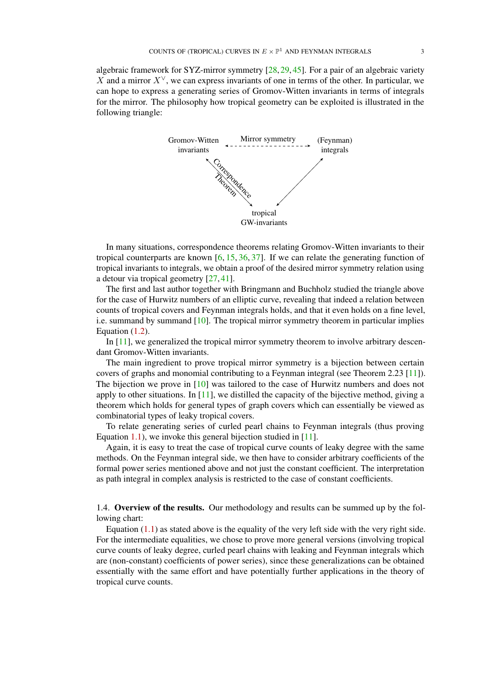algebraic framework for SYZ-mirror symmetry [\[28,](#page-24-13) [29,](#page-24-14) [45\]](#page-25-4). For a pair of an algebraic variety X and a mirror  $X^{\vee}$ , we can express invariants of one in terms of the other. In particular, we can hope to express a generating series of Gromov-Witten invariants in terms of integrals for the mirror. The philosophy how tropical geometry can be exploited is illustrated in the following triangle:



In many situations, correspondence theorems relating Gromov-Witten invariants to their tropical counterparts are known  $[6, 15, 36, 37]$  $[6, 15, 36, 37]$  $[6, 15, 36, 37]$  $[6, 15, 36, 37]$  $[6, 15, 36, 37]$  $[6, 15, 36, 37]$  $[6, 15, 36, 37]$ . If we can relate the generating function of tropical invariants to integrals, we obtain a proof of the desired mirror symmetry relation using a detour via tropical geometry [\[27,](#page-24-16) [41\]](#page-25-6).

The first and last author together with Bringmann and Buchholz studied the triangle above for the case of Hurwitz numbers of an elliptic curve, revealing that indeed a relation between counts of tropical covers and Feynman integrals holds, and that it even holds on a fine level, i.e. summand by summand  $[10]$ . The tropical mirror symmetry theorem in particular implies Equation [\(1.2\)](#page-0-1).

In  $[11]$ , we generalized the tropical mirror symmetry theorem to involve arbitrary descendant Gromov-Witten invariants.

The main ingredient to prove tropical mirror symmetry is a bijection between certain covers of graphs and monomial contributing to a Feynman integral (see Theorem 2.23 [\[11\]](#page-24-11)). The bijection we prove in [\[10\]](#page-24-17) was tailored to the case of Hurwitz numbers and does not apply to other situations. In  $[11]$ , we distilled the capacity of the bijective method, giving a theorem which holds for general types of graph covers which can essentially be viewed as combinatorial types of leaky tropical covers.

To relate generating series of curled pearl chains to Feynman integrals (thus proving Equation [1.1\)](#page-0-0), we invoke this general bijection studied in [\[11\]](#page-24-11).

Again, it is easy to treat the case of tropical curve counts of leaky degree with the same methods. On the Feynman integral side, we then have to consider arbitrary coefficients of the formal power series mentioned above and not just the constant coefficient. The interpretation as path integral in complex analysis is restricted to the case of constant coefficients.

1.4. Overview of the results. Our methodology and results can be summed up by the following chart:

Equation  $(1.1)$  as stated above is the equality of the very left side with the very right side. For the intermediate equalities, we chose to prove more general versions (involving tropical curve counts of leaky degree, curled pearl chains with leaking and Feynman integrals which are (non-constant) coefficients of power series), since these generalizations can be obtained essentially with the same effort and have potentially further applications in the theory of tropical curve counts.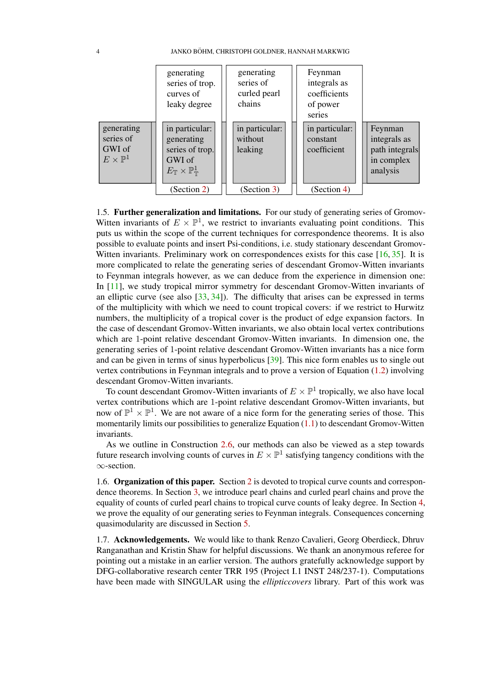

<span id="page-3-0"></span>1.5. **Further generalization and limitations.** For our study of generating series of Gromov-Witten invariants of  $E \times \mathbb{P}^1$ , we restrict to invariants evaluating point conditions. This puts us within the scope of the current techniques for correspondence theorems. It is also possible to evaluate points and insert Psi-conditions, i.e. study stationary descendant Gromov-Witten invariants. Preliminary work on correspondences exists for this case [\[16,](#page-24-5) [35\]](#page-24-18). It is more complicated to relate the generating series of descendant Gromov-Witten invariants to Feynman integrals however, as we can deduce from the experience in dimension one: In [\[11\]](#page-24-11), we study tropical mirror symmetry for descendant Gromov-Witten invariants of an elliptic curve (see also [\[33,](#page-24-19) [34\]](#page-24-20)). The difficulty that arises can be expressed in terms of the multiplicity with which we need to count tropical covers: if we restrict to Hurwitz numbers, the multiplicity of a tropical cover is the product of edge expansion factors. In the case of descendant Gromov-Witten invariants, we also obtain local vertex contributions which are 1-point relative descendant Gromov-Witten invariants. In dimension one, the generating series of 1-point relative descendant Gromov-Witten invariants has a nice form and can be given in terms of sinus hyperbolicus [\[39\]](#page-25-7). This nice form enables us to single out vertex contributions in Feynman integrals and to prove a version of Equation [\(1.2\)](#page-0-1) involving descendant Gromov-Witten invariants.

To count descendant Gromov-Witten invariants of  $E \times \mathbb{P}^1$  tropically, we also have local vertex contributions which are 1-point relative descendant Gromov-Witten invariants, but now of  $\mathbb{P}^1 \times \mathbb{P}^1$ . We are not aware of a nice form for the generating series of those. This momentarily limits our possibilities to generalize Equation [\(1.1\)](#page-0-0) to descendant Gromov-Witten invariants.

As we outline in Construction [2.6,](#page-6-0) our methods can also be viewed as a step towards future research involving counts of curves in  $E \times \mathbb{P}^1$  satisfying tangency conditions with the ∞-section.

1.6. Organization of this paper. Section [2](#page-4-0) is devoted to tropical curve counts and correspondence theorems. In Section [3,](#page-11-1) we introduce pearl chains and curled pearl chains and prove the equality of counts of curled pearl chains to tropical curve counts of leaky degree. In Section [4,](#page-16-0) we prove the equality of our generating series to Feynman integrals. Consequences concerning quasimodularity are discussed in Section [5.](#page-21-0)

1.7. **Acknowledgements.** We would like to thank Renzo Cavalieri, Georg Oberdieck, Dhruv Ranganathan and Kristin Shaw for helpful discussions. We thank an anonymous referee for pointing out a mistake in an earlier version. The authors gratefully acknowledge support by DFG-collaborative research center TRR 195 (Project I.1 INST 248/237-1). Computations have been made with SINGULAR using the *ellipticcovers* library. Part of this work was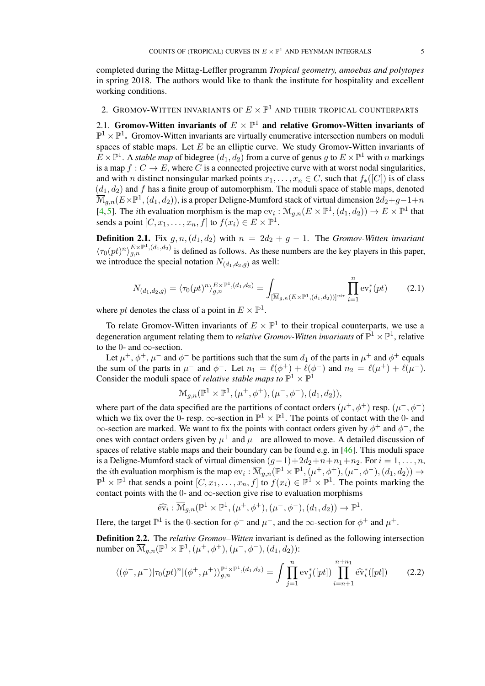completed during the Mittag-Leffler programm *Tropical geometry, amoebas and polytopes* in spring 2018. The authors would like to thank the institute for hospitality and excellent working conditions.

# <span id="page-4-0"></span>2. GROMOV-WITTEN INVARIANTS OF  $E\times\mathbb{P}^1$  and their tropical counterparts

2.1. Gromov-Witten invariants of  $E\times\mathbb{P}^1$  and relative Gromov-Witten invariants of  $\mathbb{P}^1 \times \mathbb{P}^1$ . Gromov-Witten invariants are virtually enumerative intersection numbers on moduli spaces of stable maps. Let  $E$  be an elliptic curve. We study Gromov-Witten invariants of  $\overline{E} \times \mathbb{P}^1$ . A *stable map* of bidegree  $(d_1, d_2)$  from a curve of genus g to  $E \times \mathbb{P}^1$  with n markings is a map  $f: C \to E$ , where C is a connected projective curve with at worst nodal singularities, and with n distinct nonsingular marked points  $x_1, \ldots, x_n \in C$ , such that  $f_*([C])$  is of class  $(d_1, d_2)$  and f has a finite group of automorphism. The moduli space of stable maps, denoted  $\overline{\mathcal{M}}_{g,n}(E\times\mathbb{P}^1,(d_1,d_2)),$  is a proper Deligne-Mumford stack of virtual dimension  $2d_2+g-1+n$ [\[4,](#page-23-4) [5\]](#page-23-5). The *i*th evaluation morphism is the map  $ev_i : \overline{\mathcal{M}}_{g,n}(E \times \mathbb{P}^1, (d_1, d_2)) \to E \times \mathbb{P}^1$  that sends a point  $[C,x_1,\ldots,x_n,\bar{f}]$  to  $f(x_i)\in E\times\mathbb{P}^1.$ 

<span id="page-4-1"></span>**Definition 2.1.** Fix  $g, n, (d_1, d_2)$  with  $n = 2d_2 + g - 1$ . The *Gromov-Witten invariant*  $\langle \tau_0(pt)^n \rangle_{g,n}^{E \times \mathbb{P}^1, (d_1, d_2)}$  is defined as follows. As these numbers are the key players in this paper, we introduce the special notation  $N_{(d_1,d_2,g)}$  as well:

$$
N_{(d_1, d_2, g)} = \langle \tau_0(pt)^n \rangle_{g, n}^{E \times \mathbb{P}^1, (d_1, d_2)} = \int_{\{\overline{M}_{g, n}(E \times \mathbb{P}^1, (d_1, d_2))\}^{vir}} \prod_{i=1}^n \text{ev}_i^*(pt) \tag{2.1}
$$

where *pt* denotes the class of a point in  $E \times \mathbb{P}^1$ .

To relate Gromov-Witten invariants of  $E \times \mathbb{P}^1$  to their tropical counterparts, we use a degeneration argument relating them to *relative Gromov-Witten invariants* of  $\mathbb{P}^1 \times \mathbb{P}^1$ , relative to the 0- and  $\infty$ -section.

Let  $\mu^+, \phi^+, \mu^-$  and  $\phi^-$  be partitions such that the sum  $d_1$  of the parts in  $\mu^+$  and  $\phi^+$  equals the sum of the parts in  $\mu^-$  and  $\phi^-$ . Let  $n_1 = \ell(\phi^+) + \ell(\phi^-)$  and  $n_2 = \ell(\mu^+) + \ell(\mu^-)$ . Consider the moduli space of *relative stable maps to*  $\mathbb{P}^1 \times \mathbb{P}^1$ 

$$
\overline{\mathcal{M}}_{g,n}(\mathbb{P}^1 \times \mathbb{P}^1, (\mu^+, \phi^+), (\mu^-, \phi^-), (d_1, d_2)),
$$

where part of the data specified are the partitions of contact orders  $(\mu^+, \phi^+)$  resp.  $(\mu^-, \phi^-)$ which we fix over the 0- resp.  $\infty$ -section in  $\mathbb{P}^1 \times \mathbb{P}^1$ . The points of contact with the 0- and  $\infty$ -section are marked. We want to fix the points with contact orders given by  $\phi^+$  and  $\phi^-$ , the ones with contact orders given by  $\mu^+$  and  $\mu^-$  are allowed to move. A detailed discussion of spaces of relative stable maps and their boundary can be found e.g. in [\[46\]](#page-25-8). This moduli space is a Deligne-Mumford stack of virtual dimension  $(g-1)+2d_2+n+n_1+n_2$ . For  $i=1,\ldots,n$ , the *i*th evaluation morphism is the map  $ev_i : \overline{\mathcal{M}}_{g,n}(\mathbb{P}^1 \times \mathbb{P}^1, (\mu^+, \phi^+), (\mu^-, \phi^-), (d_1, d_2)) \rightarrow$  $\mathbb{P}^1 \times \mathbb{P}^1$  that sends a point  $[C, x_1, \ldots, x_n, f]$  to  $f(x_i) \in \mathbb{P}^1 \times \mathbb{P}^1$ . The points marking the contact points with the 0- and  $\infty$ -section give rise to evaluation morphisms

$$
\widehat{\text{ev}}_i : \overline{\mathcal{M}}_{g,n}(\mathbb{P}^1 \times \mathbb{P}^1, (\mu^+, \phi^+), (\mu^-, \phi^-), (d_1, d_2)) \to \mathbb{P}^1.
$$

Here, the target  $\mathbb{P}^1$  is the 0-section for  $\phi^-$  and  $\mu^-$ , and the  $\infty$ -section for  $\phi^+$  and  $\mu^+$ .

Definition 2.2. The *relative Gromov–Witten* invariant is defined as the following intersection number on  $\overline{\mathcal{M}}_{g,n}(\mathbb{P}^1 \times \mathbb{P}^1, (\mu^+, \phi^+), (\mu^-, \phi^-), (d_1, d_2))$ :

$$
\langle (\phi^-,\mu^-)|\tau_0(pt)^n | (\phi^+,\mu^+)\rangle_{g,n}^{\mathbb{P}^1 \times \mathbb{P}^1, (d_1, d_2)} = \int \prod_{j=1}^n \text{ev}_j^*([pt]) \prod_{i=n+1}^{n+n_1} \widehat{\text{ev}}_i^*([pt]) \tag{2.2}
$$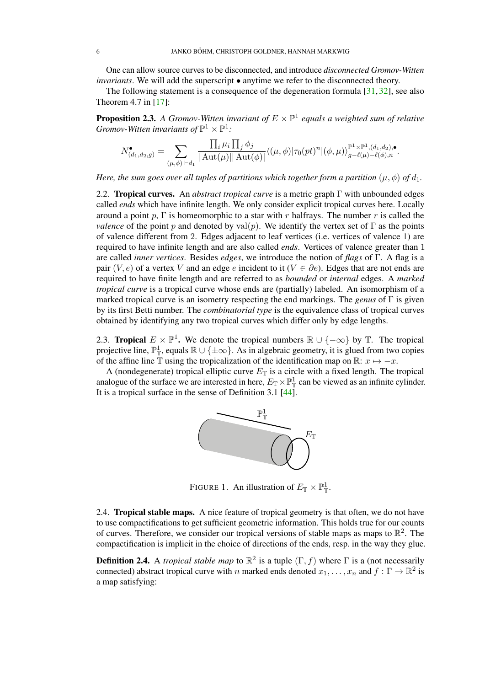One can allow source curves to be disconnected, and introduce *disconnected Gromov-Witten invariants*. We will add the superscript • anytime we refer to the disconnected theory.

The following statement is a consequence of the degeneration formula  $[31, 32]$  $[31, 32]$  $[31, 32]$ , see also Theorem 4.7 in [\[17\]](#page-24-12):

<span id="page-5-0"></span>**Proposition 2.3.** A Gromov-Witten invariant of  $E \times \mathbb{P}^1$  equals a weighted sum of relative *Gromov-Witten invariants of*  $\mathbb{P}^1 \times \mathbb{P}^1$ :

$$
N_{(d_1,d_2,g)}^{\bullet} = \sum_{(\mu,\phi)\;\vdash d_1} \frac{\prod_i \mu_i \prod_j \phi_j}{|\operatorname{Aut}(\mu)| |\operatorname{Aut}(\phi)|} \langle (\mu,\phi) | \tau_0(pt)^n | (\phi,\mu) \rangle_{g-\ell(\mu)-\ell(\phi),n}^{\mathbb{P}^1\times\mathbb{P}^1, (d_1,d_2),\bullet}.
$$

*Here, the sum goes over all tuples of partitions which together form a partition*  $(\mu, \phi)$  *of*  $d_1$ .

2.2. Tropical curves. An *abstract tropical curve* is a metric graph Γ with unbounded edges called *ends* which have infinite length. We only consider explicit tropical curves here. Locally around a point p,  $\Gamma$  is homeomorphic to a star with r halfrays. The number r is called the *valence* of the point p and denoted by val $(p)$ . We identify the vertex set of  $\Gamma$  as the points of valence different from 2. Edges adjacent to leaf vertices (i.e. vertices of valence 1) are required to have infinite length and are also called *ends*. Vertices of valence greater than 1 are called *inner vertices*. Besides *edges*, we introduce the notion of *flags* of Γ. A flag is a pair  $(V, e)$  of a vertex V and an edge e incident to it  $(V \in \partial e)$ . Edges that are not ends are required to have finite length and are referred to as *bounded* or *internal* edges. A *marked tropical curve* is a tropical curve whose ends are (partially) labeled. An isomorphism of a marked tropical curve is an isometry respecting the end markings. The *genus* of Γ is given by its first Betti number. The *combinatorial type* is the equivalence class of tropical curves obtained by identifying any two tropical curves which differ only by edge lengths.

2.3. **Tropical**  $E \times \mathbb{P}^1$ . We denote the tropical numbers  $\mathbb{R} \cup \{-\infty\}$  by  $\mathbb{T}$ . The tropical projective line,  $\mathbb{P}^1_{\mathbb{T}}$ , equals  $\mathbb{R} \cup \{\pm \infty\}$ . As in algebraic geometry, it is glued from two copies of the affine line  $\overline{T}$  using the tropicalization of the identification map on  $\mathbb{R}: x \mapsto -x$ .

A (nondegenerate) tropical elliptic curve  $E_{\mathbb{T}}$  is a circle with a fixed length. The tropical analogue of the surface we are interested in here,  $E_{\mathbb{T}} \times \mathbb{P}^1_{\mathbb{T}}$  can be viewed as an infinite cylinder. It is a tropical surface in the sense of Definition 3.1 [\[44\]](#page-25-9).



FIGURE 1. An illustration of  $E_{\mathbb{T}} \times \mathbb{P}_{\mathbb{T}}^1$ .

2.4. Tropical stable maps. A nice feature of tropical geometry is that often, we do not have to use compactifications to get sufficient geometric information. This holds true for our counts of curves. Therefore, we consider our tropical versions of stable maps as maps to  $\mathbb{R}^2$ . The compactification is implicit in the choice of directions of the ends, resp. in the way they glue.

**Definition 2.4.** A *tropical stable map* to  $\mathbb{R}^2$  is a tuple  $(\Gamma, f)$  where  $\Gamma$  is a (not necessarily connected) abstract tropical curve with n marked ends denoted  $x_1, \ldots, x_n$  and  $f : \Gamma \to \mathbb{R}^2$  is a map satisfying: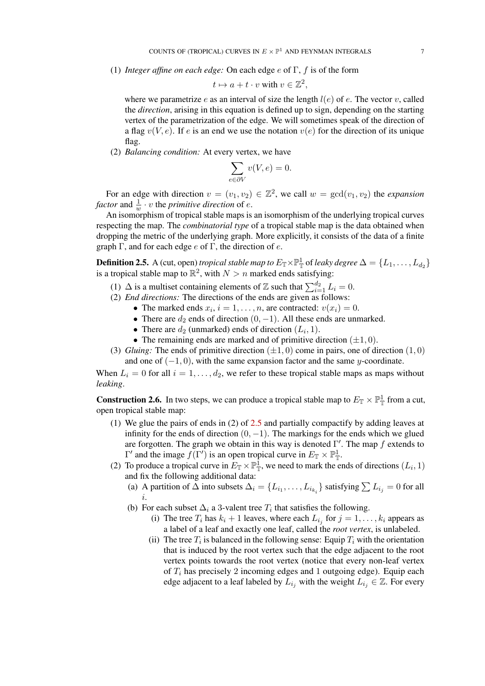(1) *Integer affine on each edge:* On each edge e of Γ, f is of the form

$$
t \mapsto a + t \cdot v \text{ with } v \in \mathbb{Z}^2,
$$

where we parametrize e as an interval of size the length  $l(e)$  of e. The vector v, called the *direction*, arising in this equation is defined up to sign, depending on the starting vertex of the parametrization of the edge. We will sometimes speak of the direction of a flag  $v(V, e)$ . If e is an end we use the notation  $v(e)$  for the direction of its unique flag.

(2) *Balancing condition:* At every vertex, we have

$$
\sum_{e \in \partial V} v(V, e) = 0.
$$

For an edge with direction  $v = (v_1, v_2) \in \mathbb{Z}^2$ , we call  $w = \gcd(v_1, v_2)$  the *expansion factor* and  $\frac{1}{w} \cdot v$  the *primitive direction* of *e*.

An isomorphism of tropical stable maps is an isomorphism of the underlying tropical curves respecting the map. The *combinatorial type* of a tropical stable map is the data obtained when dropping the metric of the underlying graph. More explicitly, it consists of the data of a finite graph Γ, and for each edge  $e$  of Γ, the direction of  $e$ .

<span id="page-6-1"></span>**Definition 2.5.** A (cut, open) *tropical stable map to*  $E_{\mathbb{T}} \times \mathbb{P}^1_{\mathbb{T}}$  *of leaky degree*  $\Delta = \{L_1, \ldots, L_{d_2}\}$ is a tropical stable map to  $\mathbb{R}^2$ , with  $N > n$  marked ends satisfying:

- (1)  $\Delta$  is a multiset containing elements of  $\mathbb Z$  such that  $\sum_{i=1}^{d_2} L_i = 0$ .
- (2) *End directions:* The directions of the ends are given as follows:
	- The marked ends  $x_i$ ,  $i = 1, \ldots, n$ , are contracted:  $v(x_i) = 0$ .
		- There are  $d_2$  ends of direction  $(0, -1)$ . All these ends are unmarked.
		- There are  $d_2$  (unmarked) ends of direction  $(L_i, 1)$ .
	- The remaining ends are marked and of primitive direction  $(\pm 1, 0)$ .
- (3) *Gluing:* The ends of primitive direction  $(\pm 1, 0)$  come in pairs, one of direction  $(1, 0)$ and one of  $(-1, 0)$ , with the same expansion factor and the same y-coordinate.

When  $L_i = 0$  for all  $i = 1, \ldots, d_2$ , we refer to these tropical stable maps as maps without *leaking*.

<span id="page-6-0"></span>**Construction 2.6.** In two steps, we can produce a tropical stable map to  $E_{\mathbb{T}} \times \mathbb{P}_{\mathbb{T}}^1$  from a cut, open tropical stable map:

- <span id="page-6-3"></span>(1) We glue the pairs of ends in (2) of [2.5](#page-6-1) and partially compactify by adding leaves at infinity for the ends of direction  $(0, -1)$ . The markings for the ends which we glued are forgotten. The graph we obtain in this way is denoted  $\Gamma'$ . The map f extends to Γ' and the image  $f(\Gamma')$  is an open tropical curve in  $E_{\mathbb{T}} \times \mathbb{P}_{\mathbb{T}}^1$ .
- <span id="page-6-4"></span><span id="page-6-2"></span>(2) To produce a tropical curve in  $E_{\mathbb{T}} \times \mathbb{P}_{\mathbb{T}}^{\mathbb{1}}$ , we need to mark the ends of directions  $(L_i, 1)$ and fix the following additional data:
	- (a) A partition of  $\Delta$  into subsets  $\Delta_i = \{L_{i_1}, \ldots, L_{i_{k_i}}\}$  satisfying  $\sum L_{i_j} = 0$  for all i.
	- (b) For each subset  $\Delta_i$  a 3-valent tree  $T_i$  that satisfies the following.
		- (i) The tree  $T_i$  has  $k_i + 1$  leaves, where each  $L_{i_j}$  for  $j = 1, \ldots, k_i$  appears as a label of a leaf and exactly one leaf, called the *root vertex*, is unlabeled.
		- (ii) The tree  $T_i$  is balanced in the following sense: Equip  $T_i$  with the orientation that is induced by the root vertex such that the edge adjacent to the root vertex points towards the root vertex (notice that every non-leaf vertex of  $T_i$  has precisely 2 incoming edges and 1 outgoing edge). Equip each edge adjacent to a leaf labeled by  $L_{i_j}$  with the weight  $L_{i_j} \in \mathbb{Z}$ . For every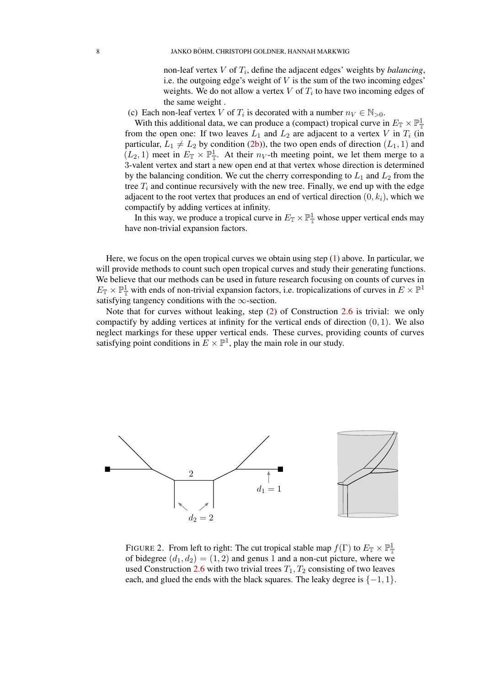non-leaf vertex  $V$  of  $T_i$ , define the adjacent edges' weights by *balancing*, i.e. the outgoing edge's weight of  $V$  is the sum of the two incoming edges' weights. We do not allow a vertex  $V$  of  $T_i$  to have two incoming edges of the same weight .

(c) Each non-leaf vertex V of  $T_i$  is decorated with a number  $n_V \in \mathbb{N}_{>0}$ .

With this additional data, we can produce a (compact) tropical curve in  $E_{\mathbb{T}} \times \mathbb{P}^1_{\mathbb{T}}$ from the open one: If two leaves  $L_1$  and  $L_2$  are adjacent to a vertex V in  $T_i$  (in particular,  $L_1 \neq L_2$  by condition [\(2b\)](#page-6-2)), the two open ends of direction  $(L_1, 1)$  and  $(L_2, 1)$  meet in  $E_{\mathbb{T}} \times \mathbb{P}_{\mathbb{T}}^1$ . At their  $n_V$ -th meeting point, we let them merge to a 3-valent vertex and start a new open end at that vertex whose direction is determined by the balancing condition. We cut the cherry corresponding to  $L_1$  and  $L_2$  from the tree  $T_i$  and continue recursively with the new tree. Finally, we end up with the edge adjacent to the root vertex that produces an end of vertical direction  $(0, k_i)$ , which we compactify by adding vertices at infinity.

In this way, we produce a tropical curve in  $E_{\mathbb{T}} \times \mathbb{P}^1_{\mathbb{T}}$  whose upper vertical ends may have non-trivial expansion factors.

Here, we focus on the open tropical curves we obtain using step [\(1\)](#page-6-3) above. In particular, we will provide methods to count such open tropical curves and study their generating functions. We believe that our methods can be used in future research focusing on counts of curves in  $E_{\mathbb{T}} \times \mathbb{P}^1_{\mathbb{T}}$  with ends of non-trivial expansion factors, i.e. tropicalizations of curves in  $E \times \mathbb{P}^1$ satisfying tangency conditions with the  $\infty$ -section.

Note that for curves without leaking, step [\(2\)](#page-6-4) of Construction [2.6](#page-6-0) is trivial: we only compactify by adding vertices at infinity for the vertical ends of direction  $(0, 1)$ . We also neglect markings for these upper vertical ends. These curves, providing counts of curves satisfying point conditions in  $E \times \mathbb{P}^1$ , play the main role in our study.



<span id="page-7-0"></span>FIGURE 2. From left to right: The cut tropical stable map  $f(\Gamma)$  to  $E_{\mathbb{T}} \times \mathbb{P}^1_{\mathbb{T}}$ of bidegree  $(d_1, d_2) = (1, 2)$  and genus 1 and a non-cut picture, where we used Construction [2.6](#page-6-0) with two trivial trees  $T_1, T_2$  consisting of two leaves each, and glued the ends with the black squares. The leaky degree is  $\{-1, 1\}$ .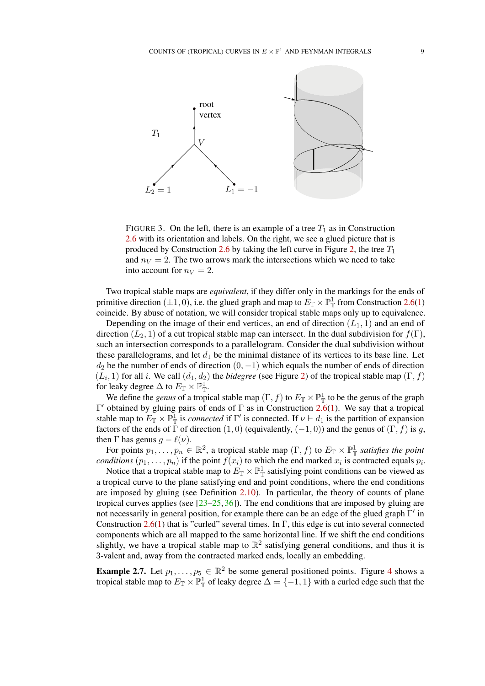

FIGURE 3. On the left, there is an example of a tree  $T_1$  as in Construction [2.6](#page-6-0) with its orientation and labels. On the right, we see a glued picture that is produced by Construction [2.6](#page-6-0) by taking the left curve in Figure [2,](#page-7-0) the tree  $T_1$ and  $n_V = 2$ . The two arrows mark the intersections which we need to take into account for  $n_V = 2$ .

Two tropical stable maps are *equivalent*, if they differ only in the markings for the ends of primitive direction  $(\pm 1, 0)$ , i.e. the glued graph and map to  $E_{\mathbb{T}} \times \mathbb{P}^1_{\mathbb{T}}$  from Construction [2.6\(](#page-6-0)[1\)](#page-6-3) coincide. By abuse of notation, we will consider tropical stable maps only up to equivalence.

Depending on the image of their end vertices, an end of direction  $(L_1, 1)$  and an end of direction  $(L_2, 1)$  of a cut tropical stable map can intersect. In the dual subdivision for  $f(\Gamma)$ , such an intersection corresponds to a parallelogram. Consider the dual subdivision without these parallelograms, and let  $d_1$  be the minimal distance of its vertices to its base line. Let  $d_2$  be the number of ends of direction  $(0, -1)$  which equals the number of ends of direction  $(L_i, 1)$  for all i. We call  $(d_1, d_2)$  $(d_1, d_2)$  the *bidegree* (see Figure 2) of the tropical stable map  $(\Gamma, f)$ for leaky degree  $\Delta$  to  $E_{\mathbb{T}} \times \mathbb{P}^1_{\mathbb{T}}$ .

We define the *genus* of a tropical stable map  $(\Gamma, f)$  to  $E_{\mathbb{T}} \times \mathbb{P}_{\mathbb{T}}^1$  to be the genus of the graph  $Γ'$  obtained by gluing pairs of ends of Γ as in Construction [2.6\(](#page-6-0)[1\)](#page-6-3). We say that a tropical stable map to  $E_{\mathbb{T}} \times \mathbb{P}^1_{\mathbb{T}}$  is *connected* if  $\Gamma'$  is connected. If  $\nu \vdash d_1$  is the partition of expansion factors of the ends of  $\Gamma$  of direction  $(1, 0)$  (equivalently,  $(-1, 0)$ ) and the genus of  $(\Gamma, f)$  is g, then  $\Gamma$  has genus  $g - \ell(\nu)$ .

For points  $p_1, \ldots, p_n \in \mathbb{R}^2$ , a tropical stable map  $(\Gamma, f)$  to  $E_{\mathbb{T}} \times \mathbb{P}^1_{\mathbb{T}}$  satisfies the point *conditions*  $(p_1, \ldots, p_n)$  if the point  $f(x_i)$  to which the end marked  $x_i$  is contracted equals  $p_i$ .

Notice that a tropical stable map to  $E_{\mathbb{T}} \times \mathbb{P}^1_{\mathbb{T}}$  satisfying point conditions can be viewed as a tropical curve to the plane satisfying end and point conditions, where the end conditions are imposed by gluing (see Definition [2.10\)](#page-9-0). In particular, the theory of counts of plane tropical curves applies (see [\[23–](#page-24-22)[25,](#page-24-23) [36\]](#page-25-2)). The end conditions that are imposed by gluing are not necessarily in general position, for example there can be an edge of the glued graph  $\Gamma'$  in Construction [2.6](#page-6-0)[\(1\)](#page-6-3) that is "curled" several times. In  $\Gamma$ , this edge is cut into several connected components which are all mapped to the same horizontal line. If we shift the end conditions slightly, we have a tropical stable map to  $\mathbb{R}^2$  satisfying general conditions, and thus it is 3-valent and, away from the contracted marked ends, locally an embedding.

<span id="page-8-0"></span>**Example 2.7.** Let  $p_1, \ldots, p_5 \in \mathbb{R}^2$  be some general positioned points. Figure [4](#page-9-1) shows a tropical stable map to  $E_{\mathbb{T}} \times \mathbb{P}_{\mathbb{T}}^1$  of leaky degree  $\Delta = \{-1, 1\}$  with a curled edge such that the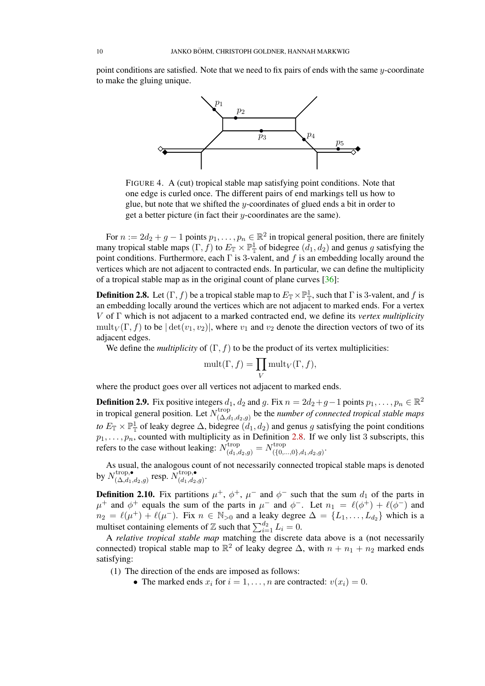point conditions are satisfied. Note that we need to fix pairs of ends with the same  $y$ -coordinate to make the gluing unique.

<span id="page-9-1"></span>

FIGURE 4. A (cut) tropical stable map satisfying point conditions. Note that one edge is curled once. The different pairs of end markings tell us how to glue, but note that we shifted the y-coordinates of glued ends a bit in order to get a better picture (in fact their y-coordinates are the same).

For  $n := 2d_2 + g - 1$  points  $p_1, \ldots, p_n \in \mathbb{R}^2$  in tropical general position, there are finitely many tropical stable maps  $(\Gamma, f)$  to  $E_{\mathbb{T}} \times \mathbb{P}^1_{\mathbb{T}}$  of bidegree  $(d_1, d_2)$  and genus g satisfying the point conditions. Furthermore, each  $\Gamma$  is 3-valent, and f is an embedding locally around the vertices which are not adjacent to contracted ends. In particular, we can define the multiplicity of a tropical stable map as in the original count of plane curves [\[36\]](#page-25-2):

<span id="page-9-2"></span>**Definition 2.8.** Let  $(\Gamma, f)$  be a tropical stable map to  $E_{\mathbb{T}} \times \mathbb{P}_{\mathbb{T}}^1$ , such that  $\Gamma$  is 3-valent, and  $f$  is an embedding locally around the vertices which are not adjacent to marked ends. For a vertex V of Γ which is not adjacent to a marked contracted end, we define its *vertex multiplicity* mult<sub>V</sub>( $\Gamma$ , f) to be  $|\det(v_1, v_2)|$ , where  $v_1$  and  $v_2$  denote the direction vectors of two of its adjacent edges.

We define the *multiplicity* of  $(\Gamma, f)$  to be the product of its vertex multiplicities:

$$
\text{mult}(\Gamma, f) = \prod_{V} \text{mult}_{V}(\Gamma, f),
$$

where the product goes over all vertices not adjacent to marked ends.

<span id="page-9-3"></span>**Definition 2.9.** Fix positive integers  $d_1$ ,  $d_2$  and  $g$ . Fix  $n = 2d_2 + g - 1$  points  $p_1, \ldots, p_n \in \mathbb{R}^2$ in tropical general position. Let  $N_{(A)}^{\text{trop}}$  $\sum_{(\Delta,d_1,d_2,g)}^{(\text{trop})}$  be the *number of connected tropical stable maps* to  $E_{\mathbb{T}} \times \mathbb{P}^1_{\mathbb{T}}$  of leaky degree  $\Delta$ , bidegree  $(d_1, d_2)$  and genus g satisfying the point conditions  $p_1, \ldots, p_n$ , counted with multiplicity as in Definition [2.8.](#page-9-2) If we only list 3 subscripts, this refers to the case without leaking:  $N_{(d_1, d_2, g)}^{\text{trop}} = N_{(\{0, \dots, g\})}^{\text{trop}}$  $(\{0,\ldots,0\},d_1,d_2,g)$ 

As usual, the analogous count of not necessarily connected tropical stable maps is denoted by  $N^{\operatorname{trop},\bullet}_{(\Lambda, d)}$  $\alpha_{(\Delta,d_1,d_2,g)}^{\text{trop},\bullet}$ resp.  $N_{(d_1,d_2)}^{\text{trop},\bullet}$  $\begin{array}{c} \text{trop,} \bullet \\ (d_1, d_2, g) \end{array}$ 

<span id="page-9-0"></span>**Definition 2.10.** Fix partitions  $\mu^+$ ,  $\phi^+$ ,  $\mu^-$  and  $\phi^-$  such that the sum  $d_1$  of the parts in  $\mu^+$  and  $\phi^+$  equals the sum of the parts in  $\mu^-$  and  $\phi^-$ . Let  $n_1 = \ell(\phi^+) + \ell(\phi^-)$  and  $n_2 = \ell(\mu^+) + \ell(\mu^-)$ . Fix  $n \in \mathbb{N}_{>0}$  and a leaky degree  $\Delta = \{L_1, \ldots, L_{d_2}\}\$  which is a multiset containing elements of  $\mathbb Z$  such that  $\sum_{i=1}^{d_2} L_i = 0$ .

A *relative tropical stable map* matching the discrete data above is a (not necessarily connected) tropical stable map to  $\mathbb{R}^2$  of leaky degree  $\Delta$ , with  $n + n_1 + n_2$  marked ends satisfying:

(1) The direction of the ends are imposed as follows:

• The marked ends  $x_i$  for  $i = 1, \ldots, n$  are contracted:  $v(x_i) = 0$ .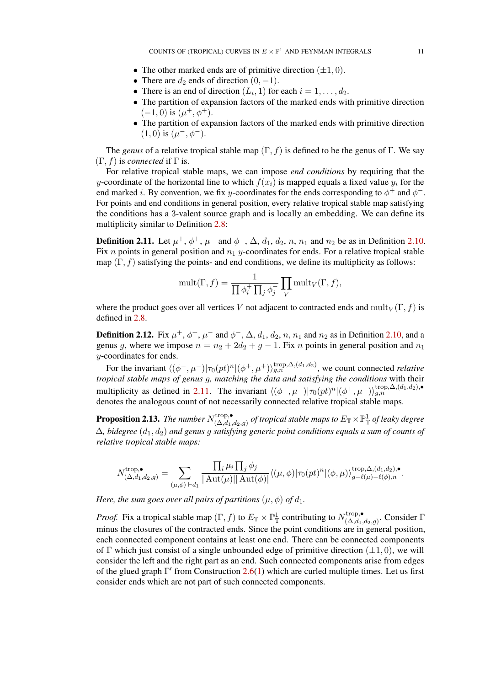- The other marked ends are of primitive direction  $(\pm 1, 0)$ .
- There are  $d_2$  ends of direction  $(0, -1)$ .
- There is an end of direction  $(L_i, 1)$  for each  $i = 1, \ldots, d_2$ .
- The partition of expansion factors of the marked ends with primitive direction  $(-1,0)$  is  $(\mu^+,\phi^+)$ .
- The partition of expansion factors of the marked ends with primitive direction  $(1,0)$  is  $(\mu^-,\phi^-)$ .

The *genus* of a relative tropical stable map  $(\Gamma, f)$  is defined to be the genus of  $\Gamma$ . We say  $(\Gamma, f)$  is *connected* if  $\Gamma$  is.

For relative tropical stable maps, we can impose *end conditions* by requiring that the y-coordinate of the horizontal line to which  $f(x_i)$  is mapped equals a fixed value  $y_i$  for the end marked *i*. By convention, we fix *y*-coordinates for the ends corresponding to  $\phi^+$  and  $\phi^-$ . For points and end conditions in general position, every relative tropical stable map satisfying the conditions has a 3-valent source graph and is locally an embedding. We can define its multiplicity similar to Definition [2.8:](#page-9-2)

<span id="page-10-0"></span>**Definition 2.11.** Let  $\mu^+$ ,  $\phi^+$ ,  $\mu^-$  and  $\phi^-$ ,  $\Delta$ ,  $d_1$ ,  $d_2$ ,  $n$ ,  $n_1$  and  $n_2$  be as in Definition [2.10.](#page-9-0) Fix *n* points in general position and  $n_1$  *y*-coordinates for ends. For a relative tropical stable map  $(\Gamma, f)$  satisfying the points- and end conditions, we define its multiplicity as follows:

$$
\text{mult}(\Gamma, f) = \frac{1}{\prod \phi_i^+ \prod_j \phi_j^-} \prod_V \text{mult}_V(\Gamma, f),
$$

where the product goes over all vertices V not adjacent to contracted ends and  $\text{mult}_V(\Gamma, f)$  is defined in [2.8.](#page-9-2)

**Definition 2.12.** Fix  $\mu^+$ ,  $\phi^+$ ,  $\mu^-$  and  $\phi^-$ ,  $\Delta$ ,  $d_1$ ,  $d_2$ ,  $n$ ,  $n_1$  and  $n_2$  as in Definition [2.10,](#page-9-0) and a genus g, where we impose  $n = n_2 + 2d_2 + g - 1$ . Fix n points in general position and  $n_1$ y-coordinates for ends.

For the invariant  $\langle (\phi^-, \mu^-)|\tau_0(pt)^n | (\phi^+, \mu^+)\rangle^{\text{trop},\Delta,(d_1,d_2)}_{g,n}$ , we count connected *relative tropical stable maps of genus* g*, matching the data and satisfying the conditions* with their multiplicity as defined in [2.11.](#page-10-0) The invariant  $\langle (\phi^-, \mu^-) | \tau_0(pt)^n | (\phi^+, \mu^+)\rangle_{g,n}^{\text{trop},\Delta,(d_1,d_2),\bullet}$ denotes the analogous count of not necessarily connected relative tropical stable maps.

<span id="page-10-1"></span>**Proposition 2.13.** The number  $N^{\text{trop},\bullet}_{(\triangle,d_1)}$ (∆,d1,d2,g) *of tropical stable maps to* ET×P 1 T *of leaky degree* ∆*, bidegree* (d1, d2) *and genus* g *satisfying generic point conditions equals a sum of counts of relative tropical stable maps:*

$$
N_{(\Delta,d_1,d_2,g)}^{\text{trop},\bullet} = \sum_{(\mu,\phi)\vdash d_1} \frac{\prod_i \mu_i \prod_j \phi_j}{|\operatorname{Aut}(\mu)| |\operatorname{Aut}(\phi)|} \langle (\mu,\phi) | \tau_0(pt)^n | (\phi,\mu) \rangle_{g-\ell(\mu)-\ell(\phi),n}^{\text{trop},\Delta,(d_1,d_2),\bullet}.
$$

*Here, the sum goes over all pairs of partitions*  $(\mu, \phi)$  *of*  $d_1$ *.* 

*Proof.* Fix a tropical stable map  $(\Gamma, f)$  to  $E_{\mathbb{T}} \times \mathbb{P}_{\mathbb{T}}^1$  contributing to  $N_{(\Lambda, d_1)}^{\text{trop}, \bullet}$  $\prod_{(\Delta,d_1,d_2,g)}^{\text{trop},\bullet}$ . Consider  $\Gamma$ minus the closures of the contracted ends. Since the point conditions are in general position, each connected component contains at least one end. There can be connected components of Γ which just consist of a single unbounded edge of primitive direction  $(\pm 1, 0)$ , we will consider the left and the right part as an end. Such connected components arise from edges of the glued graph  $\Gamma'$  from Construction [2.6\(](#page-6-0)[1\)](#page-6-3) which are curled multiple times. Let us first consider ends which are not part of such connected components.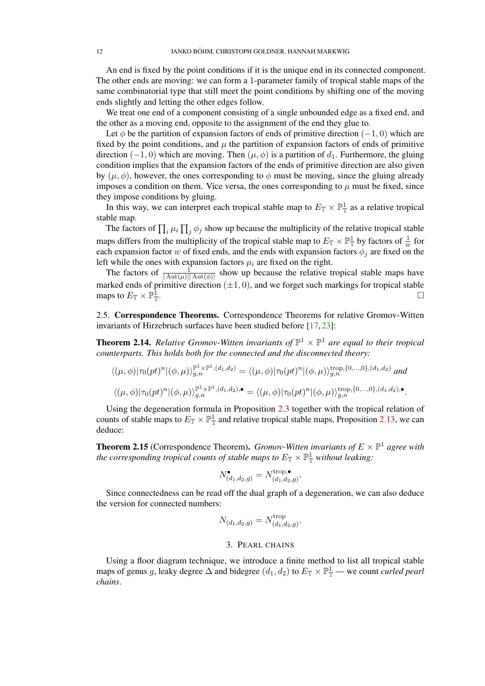An end is fixed by the point conditions if it is the unique end in its connected component. The other ends are moving: we can form a 1-parameter family of tropical stable maps of the same combinatorial type that still meet the point conditions by shifting one of the moving ends slightly and letting the other edges follow.

We treat one end of a component consisting of a single unbounded edge as a fixed end, and the other as a moving end, opposite to the assignment of the end they glue to.

Let  $\phi$  be the partition of expansion factors of ends of primitive direction (−1, 0) which are fixed by the point conditions, and  $\mu$  the partition of expansion factors of ends of primitive direction (−1, 0) which are moving. Then ( $\mu$ ,  $\phi$ ) is a partition of  $d_1$ . Furthermore, the gluing condition implies that the expansion factors of the ends of primitive direction are also given by  $(\mu, \phi)$ , however, the ones corresponding to  $\phi$  must be moving, since the gluing already imposes a condition on them. Vice versa, the ones corresponding to  $\mu$  must be fixed, since they impose conditions by gluing.

In this way, we can interpret each tropical stable map to  $E_{\mathbb{T}} \times \mathbb{P}^1_{\mathbb{T}}$  as a relative tropical stable map.

The factors of  $\prod_i \mu_i \prod_j \phi_j$  show up because the multiplicity of the relative tropical stable maps differs from the multiplicity of the tropical stable map to  $E_{\mathbb{T}} \times \mathbb{P}^1_{\mathbb{T}}$  by factors of  $\frac{1}{w}$  for each expansion factor w of fixed ends, and the ends with expansion factors  $\phi_i$  are fixed on the left while the ones with expansion factors  $\mu_i$  are fixed on the right.

The factors of  $\frac{1}{|\text{Aut}(\mu)||\text{Aut}(\phi)|}$  show up because the relative tropical stable maps have marked ends of primitive direction  $(\pm 1, 0)$ , and we forget such markings for tropical stable maps to  $E_{\mathbb T} \times \mathbb P^{\tilde{1}}_{\mathbb T}$ .

2.5. Correspondence Theorems. Correspondence Theorems for relative Gromov-Witten invariants of Hirzebruch surfaces have been studied before [\[17,](#page-24-12) [23\]](#page-24-22):

**Theorem 2.14.** Relative Gromov-Witten invariants of  $\mathbb{P}^1 \times \mathbb{P}^1$  are equal to their tropical *counterparts. This holds both for the connected and the disconnected theory:*

$$
\langle (\mu, \phi) | \tau_0(pt)^n | (\phi, \mu) \rangle_{g,n}^{\mathbb{P}^1 \times \mathbb{P}^1, (d_1, d_2)} = \langle (\mu, \phi) | \tau_0(pt)^n | (\phi, \mu) \rangle_{g,n}^{\text{trop}, \{0, \ldots, 0\}, (d_1, d_2)} \text{ and}
$$
  

$$
\langle (\mu, \phi) | \tau_0(pt)^n | (\phi, \mu) \rangle_{g,n}^{\mathbb{P}^1 \times \mathbb{P}^1, (d_1, d_2), \bullet} = \langle (\mu, \phi) | \tau_0(pt)^n | (\phi, \mu) \rangle_{g,n}^{\text{trop}, \{0, \ldots, 0\}, (d_1, d_2), \bullet}.
$$

Using the degeneration formula in Proposition [2.3](#page-5-0) together with the tropical relation of counts of stable maps to  $E_{\mathbb{T}} \times \mathbb{P}^1_{\mathbb{T}}$  and relative tropical stable maps, Proposition [2.13,](#page-10-1) we can deduce:

<span id="page-11-0"></span>**Theorem 2.15** (Correspondence Theorem). *Gromov-Witten invariants of*  $E \times \mathbb{P}^1$  *agree with* the corresponding tropical counts of stable maps to  $E_{\mathbb{T}} \times \mathbb{P}^1_{\mathbb{T}}$  without leaking:

$$
N_{(d_1,d_2,g)}^{\bullet} = N_{(d_1,d_2,g)}^{\text{trop},\bullet}.
$$

Since connectedness can be read off the dual graph of a degeneration, we can also deduce the version for connected numbers:

$$
N_{(d_1,d_2,g)} = N^{\text{trop}}_{(d_1,d_2,g)}.
$$

### 3. PEARL CHAINS

<span id="page-11-1"></span>Using a floor diagram technique, we introduce a finite method to list all tropical stable maps of genus g, leaky degree  $\Delta$  and bidegree  $(d_1, d_2)$  to  $E_{\mathbb{T}} \times \mathbb{P}_{\mathbb{T}}^1$  — we count *curled pearl chains*.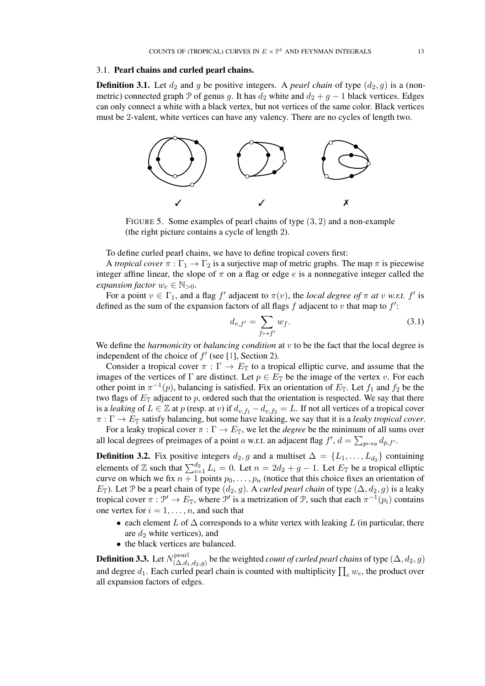#### 3.1. Pearl chains and curled pearl chains.

<span id="page-12-0"></span>**Definition 3.1.** Let  $d_2$  and g be positive integers. A *pearl chain* of type  $(d_2, g)$  is a (nonmetric) connected graph P of genus g. It has  $d_2$  white and  $d_2 + g - 1$  black vertices. Edges can only connect a white with a black vertex, but not vertices of the same color. Black vertices must be 2-valent, white vertices can have any valency. There are no cycles of length two.



FIGURE 5. Some examples of pearl chains of type (3, 2) and a non-example (the right picture contains a cycle of length 2).

To define curled pearl chains, we have to define tropical covers first:

A *tropical cover*  $\pi : \Gamma_1 \to \Gamma_2$  is a surjective map of metric graphs. The map  $\pi$  is piecewise integer affine linear, the slope of  $\pi$  on a flag or edge e is a nonnegative integer called the *expansion factor*  $w_e \in \mathbb{N}_{>0}$ .

For a point  $v \in \Gamma_1$ , and a flag f' adjacent to  $\pi(v)$ , the *local degree of*  $\pi$  *at*  $v$  *w.r.t.* f' is defined as the sum of the expansion factors of all flags  $f$  adjacent to  $v$  that map to  $f'$ :

$$
d_{v,f'} = \sum_{f \mapsto f'} w_f. \tag{3.1}
$$

We define the *harmonicity* or *balancing condition* at v to be the fact that the local degree is independent of the choice of  $f'$  (see [\[1\]](#page-23-6), Section 2).

Consider a tropical cover  $\pi : \Gamma \to E_{\mathbb{T}}$  to a tropical elliptic curve, and assume that the images of the vertices of  $\Gamma$  are distinct. Let  $p \in E_{\mathbb{T}}$  be the image of the vertex v. For each other point in  $\pi^{-1}(p)$ , balancing is satisfied. Fix an orientation of  $E_{\mathbb{T}}$ . Let  $f_1$  and  $f_2$  be the two flags of  $E_{\mathbb{T}}$  adjacent to p, ordered such that the orientation is respected. We say that there is a *leaking* of  $L \in \mathbb{Z}$  at p (resp. at v) if  $d_{v,f_1} - d_{v,f_2} = L$ . If not all vertices of a tropical cover  $\pi : \Gamma \to E_{\mathbb{T}}$  satisfy balancing, but some have leaking, we say that it is a *leaky tropical cover*.

For a leaky tropical cover  $\pi : \Gamma \to E_{\mathbb{T}}$ , we let the *degree* be the minimum of all sums over all local degrees of preimages of a point a w.r.t. an adjacent flag  $f'$ ,  $d = \sum_{p \mapsto a} d_{p,f'}$ .

<span id="page-12-1"></span>**Definition 3.2.** Fix positive integers  $d_2$ , g and a multiset  $\Delta = \{L_1, \ldots, L_{d_2}\}\)$  containing elements of Z such that  $\sum_{i=1}^{d_2} L_i = 0$ . Let  $n = 2d_2 + g - 1$ . Let  $E_{\mathbb{T}}$  be a tropical elliptic curve on which we fix  $n + 1$  points  $p_0, \ldots, p_n$  (notice that this choice fixes an orientation of  $E$ <sup>T</sup>). Let P be a pearl chain of type  $(d_2, g)$ . A *curled pearl chain* of type  $(∆, d_2, g)$  is a leaky tropical cover  $\pi : \mathcal{P}' \to E_{\mathbb{T}}$ , where  $\mathcal{P}'$  is a metrization of  $\mathcal{P}$ , such that each  $\pi^{-1}(p_i)$  contains one vertex for  $i = 1, \ldots, n$ , and such that

- each element L of  $\Delta$  corresponds to a white vertex with leaking L (in particular, there are  $d_2$  white vertices), and
- the black vertices are balanced.

<span id="page-12-2"></span>**Definition 3.3.** Let  $N_{(A,d)}^{\text{pearl}}$  $\sum_{(\Delta,d_1,d_2,g)}^{(\text{pear})}$  be the weighted *count of curled pearl chains* of type  $(\Delta,d_2,g)$ and degree  $d_1$ . Each curled pearl chain is counted with multiplicity  $\prod_e w_e$ , the product over all expansion factors of edges.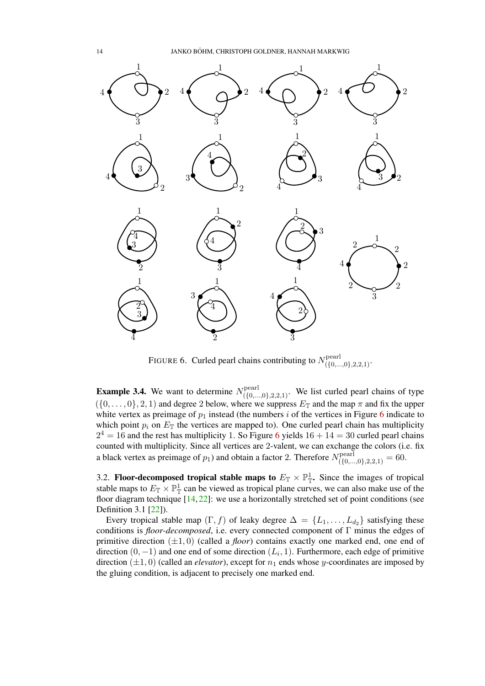

<span id="page-13-0"></span>FIGURE 6. Curled pearl chains contributing to  $N_{(\{0,\ldots,0\},2,2,1)}^{\text{pearl}}$ .

<span id="page-13-1"></span>**Example 3.4.** We want to determine  $N_{(\{0,\ldots,0\},2,2,1)}^{\text{pearl}}$ . We list curled pearl chains of type  $(\{0,\ldots,0\},2,1)$  and degree 2 below, where we suppress  $E_{\mathbb{T}}$  and the map  $\pi$  and fix the upper white vertex as preimage of  $p_1$  instead (the numbers i of the vertices in Figure [6](#page-13-0) indicate to which point  $p_i$  on  $E_{\mathbb{T}}$  the vertices are mapped to). One curled pearl chain has multiplicity  $2^4 = 16$  $2^4 = 16$  and the rest has multiplicity 1. So Figure 6 yields  $16 + 14 = 30$  curled pearl chains counted with multiplicity. Since all vertices are 2-valent, we can exchange the colors (i.e. fix a black vertex as preimage of  $p_1$ ) and obtain a factor 2. Therefore  $N_{(\{0,\ldots,0\},2,2,1)}^{\text{pearl}} = 60$ .

3.2. Floor-decomposed tropical stable maps to  $E_{\mathbb{T}} \times \mathbb{P}_{\mathbb{T}}^1$ . Since the images of tropical stable maps to  $E_{\mathbb{T}} \times \mathbb{P}_{\mathbb{T}}^1$  can be viewed as tropical plane curves, we can also make use of the floor diagram technique  $[14, 22]$  $[14, 22]$  $[14, 22]$ : we use a horizontally stretched set of point conditions (see Definition 3.1 [\[22\]](#page-24-8)).

Every tropical stable map  $(\Gamma, f)$  of leaky degree  $\Delta = \{L_1, \ldots, L_{d_2}\}\$  satisfying these conditions is *floor-decomposed*, i.e. every connected component of Γ minus the edges of primitive direction  $(\pm 1, 0)$  (called a *floor*) contains exactly one marked end, one end of direction  $(0, -1)$  and one end of some direction  $(L_i, 1)$ . Furthermore, each edge of primitive direction  $(\pm 1, 0)$  (called an *elevator*), except for  $n_1$  ends whose y-coordinates are imposed by the gluing condition, is adjacent to precisely one marked end.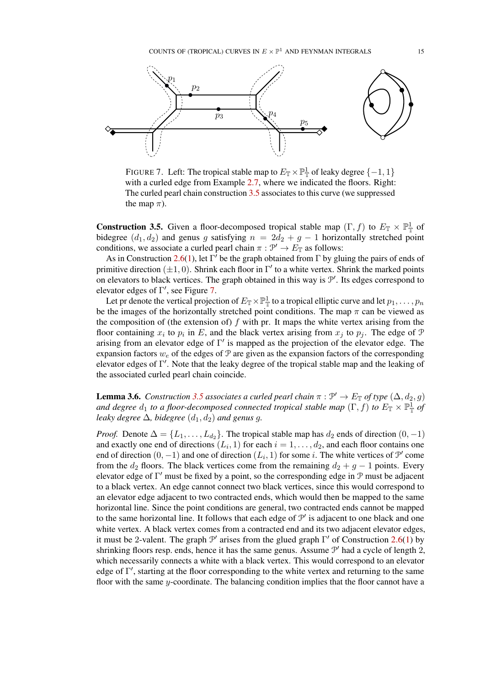

<span id="page-14-1"></span>FIGURE 7. Left: The tropical stable map to  $E_{\mathbb{T}} \times \mathbb{P}^1_{\mathbb{T}}$  of leaky degree  $\{-1, 1\}$ with a curled edge from Example [2.7,](#page-8-0) where we indicated the floors. Right: The curled pearl chain construction [3.5](#page-14-0) associates to this curve (we suppressed the map  $\pi$ ).

<span id="page-14-0"></span>**Construction 3.5.** Given a floor-decomposed tropical stable map  $(\Gamma, f)$  to  $E_{\mathbb{T}} \times \mathbb{P}_{\mathbb{T}}^1$  of bidegree  $(d_1, d_2)$  and genus g satisfying  $n = 2d_2 + g - 1$  horizontally stretched point conditions, we associate a curled pearl chain  $\pi : \mathcal{P}' \to E_{\mathbb{T}}$  as follows:

As in Construction [2.6\(](#page-6-0)[1\)](#page-6-3), let  $\Gamma'$  be the graph obtained from  $\Gamma$  by gluing the pairs of ends of primitive direction  $(\pm 1, 0)$ . Shrink each floor in  $\Gamma'$  to a white vertex. Shrink the marked points on elevators to black vertices. The graph obtained in this way is  $\mathcal{P}'$ . Its edges correspond to elevator edges of  $\Gamma'$ , see Figure [7.](#page-14-1)

Let pr denote the vertical projection of  $E_{\mathbb{T}} \times \mathbb{P}^1_{\mathbb{T}}$  to a tropical elliptic curve and let  $p_1, \ldots, p_n$ be the images of the horizontally stretched point conditions. The map  $\pi$  can be viewed as the composition of (the extension of)  $f$  with pr. It maps the white vertex arising from the floor containing  $x_i$  to  $p_i$  in E, and the black vertex arising from  $x_j$  to  $p_j$ . The edge of  $\mathcal P$ arising from an elevator edge of  $\Gamma'$  is mapped as the projection of the elevator edge. The expansion factors  $w_e$  of the edges of P are given as the expansion factors of the corresponding elevator edges of  $\Gamma'$ . Note that the leaky degree of the tropical stable map and the leaking of the associated curled pearl chain coincide.

<span id="page-14-2"></span>**Lemma 3.6.** *Construction [3.5](#page-14-0) associates a curled pearl chain*  $\pi$  :  $\mathcal{P}' \to E_{\mathbb{T}}$  *of type*  $(\Delta, d_2, g)$ *and degree*  $d_1$  *to a floor-decomposed connected tropical stable map*  $(\Gamma, f)$  *to*  $E_{\mathbb{T}} \times \mathbb{P}_{\mathbb{T}}^1$  *of leaky degree*  $\Delta$ *, bidegree*  $(d_1, d_2)$  *and genus g.* 

*Proof.* Denote  $\Delta = \{L_1, \ldots, L_{d_2}\}$ . The tropical stable map has  $d_2$  ends of direction  $(0, -1)$ and exactly one end of directions  $(L_i, 1)$  for each  $i = 1, \ldots, d_2$ , and each floor contains one end of direction  $(0, -1)$  and one of direction  $(L_i, 1)$  for some i. The white vertices of  $\mathcal{P}'$  come from the  $d_2$  floors. The black vertices come from the remaining  $d_2 + q - 1$  points. Every elevator edge of  $\Gamma'$  must be fixed by a point, so the corresponding edge in  $\mathcal P$  must be adjacent to a black vertex. An edge cannot connect two black vertices, since this would correspond to an elevator edge adjacent to two contracted ends, which would then be mapped to the same horizontal line. Since the point conditions are general, two contracted ends cannot be mapped to the same horizontal line. It follows that each edge of  $\mathcal{P}'$  is adjacent to one black and one white vertex. A black vertex comes from a contracted end and its two adjacent elevator edges, it must be 2-valent. The graph  $\mathcal{P}'$  arises from the glued graph  $\Gamma'$  of Construction [2.6](#page-6-0)[\(1\)](#page-6-3) by shrinking floors resp. ends, hence it has the same genus. Assume  $\mathcal{P}'$  had a cycle of length 2, which necessarily connects a white with a black vertex. This would correspond to an elevator edge of Γ', starting at the floor corresponding to the white vertex and returning to the same floor with the same y-coordinate. The balancing condition implies that the floor cannot have a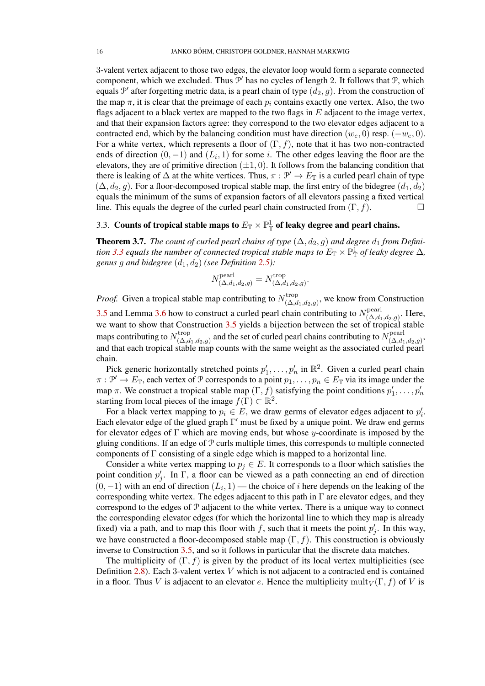3-valent vertex adjacent to those two edges, the elevator loop would form a separate connected component, which we excluded. Thus  $\mathcal{P}'$  has no cycles of length 2. It follows that  $\mathcal{P}$ , which equals  $\mathcal{P}'$  after forgetting metric data, is a pearl chain of type  $(d_2, g)$ . From the construction of the map  $\pi$ , it is clear that the preimage of each  $p_i$  contains exactly one vertex. Also, the two flags adjacent to a black vertex are mapped to the two flags in  $E$  adjacent to the image vertex, and that their expansion factors agree: they correspond to the two elevator edges adjacent to a contracted end, which by the balancing condition must have direction  $(w_e, 0)$  resp.  $(-w_e, 0)$ . For a white vertex, which represents a floor of  $(\Gamma, f)$ , note that it has two non-contracted ends of direction  $(0, -1)$  and  $(L_i, 1)$  for some i. The other edges leaving the floor are the elevators, they are of primitive direction  $(\pm 1, 0)$ . It follows from the balancing condition that there is leaking of  $\Delta$  at the white vertices. Thus,  $\pi : \mathcal{P}' \to E_{\mathbb{T}}$  is a curled pearl chain of type  $(\Delta, d_2, g)$ . For a floor-decomposed tropical stable map, the first entry of the bidegree  $(d_1, d_2)$ equals the minimum of the sums of expansion factors of all elevators passing a fixed vertical line. This equals the degree of the curled pearl chain constructed from  $(\Gamma, f)$ .

# 3.3. Counts of tropical stable maps to  $E_{\mathbb T} \times {\mathbb P}^1_{\mathbb T}$  of leaky degree and pearl chains.

<span id="page-15-0"></span>**Theorem 3.7.** *The count of curled pearl chains of type*  $(\Delta, d_2, g)$  *and degree*  $d_1$  *from Defini-*tion [3.3](#page-12-2) equals the number of connected tropical stable maps to  $E_\mathbb{T}\times \mathbb{P}^1_\mathbb{T}$  of leaky degree  $\Delta$ , *genus g and bidegree*  $(d_1, d_2)$  *(see Definition [2.5\)](#page-6-1):* 

$$
N^{\text{pearl}}_{(\Delta,d_1,d_2,g)} = N^{\text{trop}}_{(\Delta,d_1,d_2,g)}.
$$

*Proof.* Given a tropical stable map contributing to  $N_{(A)}^{\text{trop}}$  $(\Delta, d_1, d_2, g)$ , we know from Construction [3.5](#page-14-0) and Lemma [3.6](#page-14-2) how to construct a curled pearl chain contributing to  $N^{\text{pear}}_{(A,d)}$  $\sum_{(\Delta,d_1,d_2,g)}^{\text{pearr}}$ . Here, we want to show that Construction [3.5](#page-14-0) yields a bijection between the set of tropical stable maps contributing to  $N_{(\Delta,d)}^{\text{trop}}$ <sup>trop</sup> ( $\Delta$ ,d<sub>1</sub>,d<sub>2</sub>,g)</sub> and the set of curled pearl chains contributing to  $N^{\text{pear}}_{(\Delta,d_1,d_2)}$  $\sum_{( \Delta, d_1, d_2, g)}$ and that each tropical stable map counts with the same weight as the associated curled pearl chain.

Pick generic horizontally stretched points  $p'_1, \ldots, p'_n$  in  $\mathbb{R}^2$ . Given a curled pearl chain  $\pi : \mathcal{P}' \to E_{\mathbb{T}}$ , each vertex of  $\mathcal P$  corresponds to a point  $p_1, \ldots, p_n \in E_{\mathbb{T}}$  via its image under the map  $\pi$ . We construct a tropical stable map  $(\Gamma, f)$  satisfying the point conditions  $p'_1, \ldots, p'_n$ starting from local pieces of the image  $f(\Gamma) \subset \mathbb{R}^2$ .

For a black vertex mapping to  $p_i \in E$ , we draw germs of elevator edges adjacent to  $p'_i$ . Each elevator edge of the glued graph  $\Gamma'$  must be fixed by a unique point. We draw end germs for elevator edges of  $\Gamma$  which are moving ends, but whose y-coordinate is imposed by the gluing conditions. If an edge of  $P$  curls multiple times, this corresponds to multiple connected components of Γ consisting of a single edge which is mapped to a horizontal line.

Consider a white vertex mapping to  $p_j \in E$ . It corresponds to a floor which satisfies the point condition  $p'_j$ . In  $\Gamma$ , a floor can be viewed as a path connecting an end of direction  $(0, -1)$  with an end of direction  $(L_i, 1)$  — the choice of i here depends on the leaking of the corresponding white vertex. The edges adjacent to this path in  $\Gamma$  are elevator edges, and they correspond to the edges of  $P$  adjacent to the white vertex. There is a unique way to connect the corresponding elevator edges (for which the horizontal line to which they map is already fixed) via a path, and to map this floor with f, such that it meets the point  $p'_j$ . In this way, we have constructed a floor-decomposed stable map  $(\Gamma, f)$ . This construction is obviously inverse to Construction [3.5,](#page-14-0) and so it follows in particular that the discrete data matches.

The multiplicity of  $(\Gamma, f)$  is given by the product of its local vertex multiplicities (see Definition [2.8\)](#page-9-2). Each 3-valent vertex V which is not adjacent to a contracted end is contained in a floor. Thus V is adjacent to an elevator e. Hence the multiplicity  $\text{mult}_V(\Gamma, f)$  of V is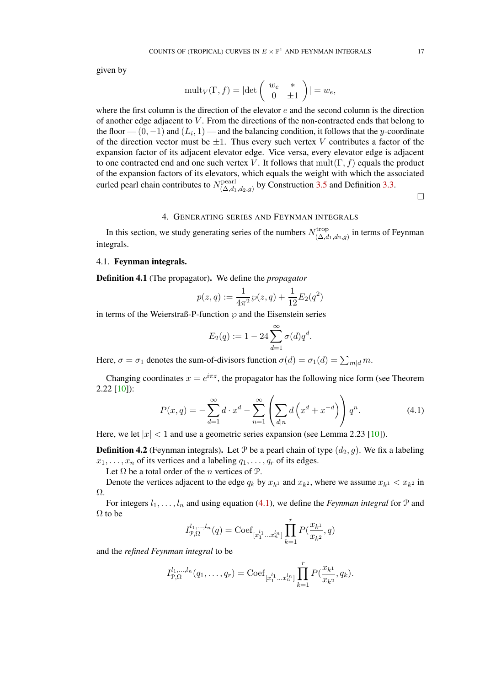given by

$$
\text{mult}_V(\Gamma, f) = |\text{det}\begin{pmatrix} w_e & * \\ 0 & \pm 1 \end{pmatrix}| = w_e,
$$

where the first column is the direction of the elevator  $e$  and the second column is the direction of another edge adjacent to  $V$ . From the directions of the non-contracted ends that belong to the floor —  $(0, -1)$  and  $(L_i, 1)$  — and the balancing condition, it follows that the y-coordinate of the direction vector must be  $\pm 1$ . Thus every such vertex V contributes a factor of the expansion factor of its adjacent elevator edge. Vice versa, every elevator edge is adjacent to one contracted end and one such vertex V. It follows that  $mult(\Gamma, f)$  equals the product of the expansion factors of its elevators, which equals the weight with which the associated curled pearl chain contributes to  $N_{(A,d)}^{\text{pearl}}$  $(\triangle, d_1, d_2, g)$  by Construction [3.5](#page-14-0) and Definition [3.3.](#page-12-2)

 $\Box$ 

#### 4. GENERATING SERIES AND FEYNMAN INTEGRALS

<span id="page-16-0"></span>In this section, we study generating series of the numbers  $N_{(A)}^{\text{trop}}$  $(\Delta, d_1, d_2, g)$  in terms of Feynman integrals.

## 4.1. Feynman integrals.

<span id="page-16-3"></span>Definition 4.1 (The propagator). We define the *propagator*

$$
p(z,q) := \frac{1}{4\pi^2} \wp(z,q) + \frac{1}{12} E_2(q^2)
$$

in terms of the Weierstraß-P-function  $\wp$  and the Eisenstein series

$$
E_2(q) := 1 - 24 \sum_{d=1}^{\infty} \sigma(d) q^d.
$$

Here,  $\sigma = \sigma_1$  denotes the sum-of-divisors function  $\sigma(d) = \sigma_1(d) = \sum_{m|d} m$ .

Changing coordinates  $x = e^{i\pi z}$ , the propagator has the following nice form (see Theorem 2.22 [\[10\]](#page-24-17)):

<span id="page-16-1"></span>
$$
P(x,q) = -\sum_{d=1}^{\infty} d \cdot x^d - \sum_{n=1}^{\infty} \left( \sum_{d|n} d \left( x^d + x^{-d} \right) \right) q^n.
$$
 (4.1)

Here, we let  $|x| < 1$  and use a geometric series expansion (see Lemma 2.23 [\[10\]](#page-24-17)).

<span id="page-16-2"></span>**Definition 4.2** (Feynman integrals). Let P be a pearl chain of type  $(d_2, q)$ . We fix a labeling  $x_1, \ldots, x_n$  of its vertices and a labeling  $q_1, \ldots, q_r$  of its edges.

Let  $\Omega$  be a total order of the *n* vertices of  $\mathcal{P}$ .

Denote the vertices adjacent to the edge  $q_k$  by  $x_{k1}$  and  $x_{k2}$ , where we assume  $x_{k1} < x_{k2}$  in Ω.

For integers  $l_1, \ldots, l_n$  and using equation [\(4.1\)](#page-16-1), we define the *Feynman integral* for  $P$  and  $\Omega$  to be

$$
I^{l_1,...,l_n}_{\mathcal{P},\Omega}(q) = \mathrm{Coef}_{[x_1^{l_1}...x_n^{l_n}]} \prod_{k=1}^r P(\frac{x_{k^1}}{x_{k^2}},q)
$$

and the *refined Feynman integral* to be

$$
I_{\mathcal{P},\Omega}^{l_1,\dots,l_n}(q_1,\dots,q_r) = \mathrm{Coef}_{[x_1^{l_1}\dots x_n^{l_n}]} \prod_{k=1}^r P(\frac{x_{k^1}}{x_{k^2}},q_k).
$$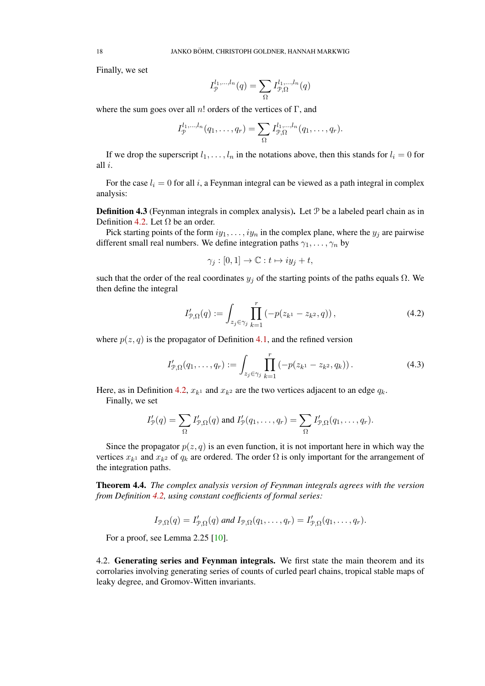Finally, we set

$$
I_{\mathcal{P}}^{l_1,...,l_n}(q) = \sum_{\Omega} I_{\mathcal{P},\Omega}^{l_1,...,l_n}(q)
$$

where the sum goes over all n! orders of the vertices of  $\Gamma$ , and

$$
I_{\mathcal{P}}^{l_1,...,l_n}(q_1,...,q_r) = \sum_{\Omega} I_{\mathcal{P},\Omega}^{l_1,...,l_n}(q_1,...,q_r).
$$

If we drop the superscript  $l_1, \ldots, l_n$  in the notations above, then this stands for  $l_i = 0$  for all i.

For the case  $l_i = 0$  for all i, a Feynman integral can be viewed as a path integral in complex analysis:

**Definition 4.3** (Feynman integrals in complex analysis). Let  $\mathcal{P}$  be a labeled pearl chain as in Definition [4.2.](#page-16-2) Let  $\Omega$  be an order.

Pick starting points of the form  $iy_1, \ldots, iy_n$  in the complex plane, where the  $y_j$  are pairwise different small real numbers. We define integration paths  $\gamma_1, \ldots, \gamma_n$  by

$$
\gamma_j : [0,1] \to \mathbb{C} : t \mapsto iy_j + t,
$$

such that the order of the real coordinates  $y_j$  of the starting points of the paths equals  $\Omega$ . We then define the integral

$$
I'_{\mathcal{P},\Omega}(q) := \int_{z_j \in \gamma_j} \prod_{k=1}^r \left( -p(z_{k^1} - z_{k^2}, q) \right),\tag{4.2}
$$

where  $p(z, q)$  is the propagator of Definition [4.1,](#page-16-3) and the refined version

$$
I'_{\mathcal{P},\Omega}(q_1,\ldots,q_r) := \int_{z_j \in \gamma_j} \prod_{k=1}^r \left( -p(z_{k^1} - z_{k^2}, q_k) \right). \tag{4.3}
$$

Here, as in Definition [4.2,](#page-16-2)  $x_{k}$  and  $x_{k}$  are the two vertices adjacent to an edge  $q_k$ . Finally, we set

$$
I'_{\mathcal{P}}(q) = \sum_{\Omega} I'_{\mathcal{P},\Omega}(q)
$$
 and  $I'_{\mathcal{P}}(q_1,\ldots,q_r) = \sum_{\Omega} I'_{\mathcal{P},\Omega}(q_1,\ldots,q_r).$ 

Since the propagator  $p(z, q)$  is an even function, it is not important here in which way the vertices  $x_{k_1}$  and  $x_{k_2}$  of  $q_k$  are ordered. The order  $\Omega$  is only important for the arrangement of the integration paths.

<span id="page-17-0"></span>Theorem 4.4. *The complex analysis version of Feynman integrals agrees with the version from Definition [4.2,](#page-16-2) using constant coefficients of formal series:*

$$
I_{\mathcal{P},\Omega}(q) = I'_{\mathcal{P},\Omega}(q)
$$
 and  $I_{\mathcal{P},\Omega}(q_1,\ldots,q_r) = I'_{\mathcal{P},\Omega}(q_1,\ldots,q_r).$ 

For a proof, see Lemma 2.25 [\[10\]](#page-24-17).

4.2. Generating series and Feynman integrals. We first state the main theorem and its corrolaries involving generating series of counts of curled pearl chains, tropical stable maps of leaky degree, and Gromov-Witten invariants.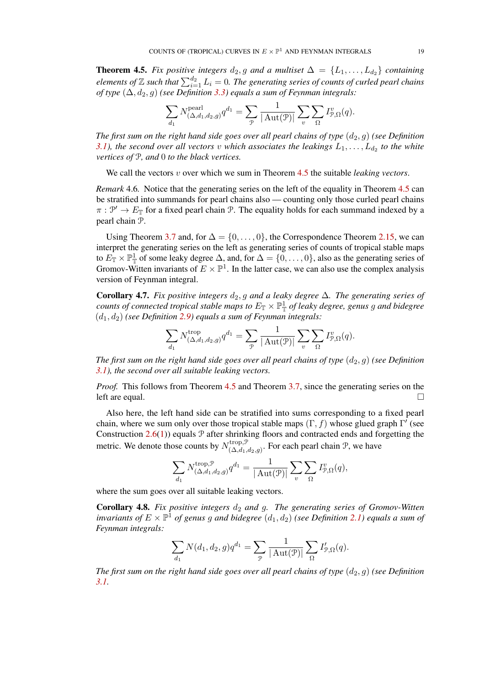<span id="page-18-1"></span>**Theorem 4.5.** *Fix positive integers*  $d_2$ ,  $g$  and a multiset  $\Delta = \{L_1, \ldots, L_{d_2}\}$  containing  $\epsilon$ lements of  $\mathbb Z$  such that  $\sum_{i=1}^{d_2} L_i = 0$ . The generating series of counts of curled pearl chains *of type*  $(\Delta, d_2, g)$  *(see Definition [3.3\)](#page-12-2) equals a sum of Feynman integrals:* 

$$
\sum_{d_1} N^{\text{pearl}}_{(\Delta, d_1, d_2, g)} q^{d_1} = \sum_{\mathcal{P}} \frac{1}{|\operatorname{Aut}(\mathcal{P})|} \sum_{v} \sum_{\Omega} I^v_{\mathcal{P}, \Omega}(q).
$$

*The first sum on the right hand side goes over all pearl chains of type*  $(d_2, q)$  *(see Definition*) [3.1\)](#page-12-0), the second over all vectors v which associates the leakings  $L_1, \ldots, L_{d_2}$  to the white *vertices of* P*, and* 0 *to the black vertices.*

We call the vectors v over which we sum in Theorem [4.5](#page-18-1) the suitable *leaking vectors*.

*Remark* 4.6. Notice that the generating series on the left of the equality in Theorem [4.5](#page-18-1) can be stratified into summands for pearl chains also — counting only those curled pearl chains  $\pi : \mathcal{P}' \to E_{\mathbb{T}}$  for a fixed pearl chain  $\mathcal{P}$ . The equality holds for each summand indexed by a pearl chain P.

Using Theorem [3.7](#page-15-0) and, for  $\Delta = \{0, \ldots, 0\}$ , the Correspondence Theorem [2.15,](#page-11-0) we can interpret the generating series on the left as generating series of counts of tropical stable maps to  $E_{\mathbb{T}} \times \mathbb{P}^1_{\mathbb{T}}$  of some leaky degree  $\Delta$ , and, for  $\Delta = \{0, \ldots, 0\}$ , also as the generating series of Gromov-Witten invariants of  $E \times \mathbb{P}^1$ . In the latter case, we can also use the complex analysis version of Feynman integral.

<span id="page-18-2"></span>Corollary 4.7. *Fix positive integers* d2, g *and a leaky degree* ∆*. The generating series of counts of connected tropical stable maps to*  $E_{\mathbb{T}} \times \mathbb{P}^1_{\mathbb{T}}$  *of leaky degree, genus g and bidegree*  $(d_1, d_2)$  *(see Definition [2.9\)](#page-9-3) equals a sum of Feynman integrals:* 

$$
\sum_{d_1} N^{\text{trop}}_{(\Delta, d_1, d_2, g)} q^{d_1} = \sum_{\mathcal{P}} \frac{1}{|\operatorname{Aut}(\mathcal{P})|} \sum_v \sum_{\Omega} I^v_{\mathcal{P}, \Omega}(q).
$$

*The first sum on the right hand side goes over all pearl chains of type*  $(d_2, g)$  *(see Definition*) *[3.1\)](#page-12-0), the second over all suitable leaking vectors.*

*Proof.* This follows from Theorem [4.5](#page-18-1) and Theorem [3.7,](#page-15-0) since the generating series on the left are equal.

Also here, the left hand side can be stratified into sums corresponding to a fixed pearl chain, where we sum only over those tropical stable maps  $(\Gamma, f)$  whose glued graph  $\Gamma'$  (see Construction  $2.6(1)$  $2.6(1)$ ) equals  $P$  after shrinking floors and contracted ends and forgetting the metric. We denote those counts by  $N_{(A,d)}^{\text{trop},\mathcal{P}}$  $(\Delta, d_1, d_2, g)$ . For each pearl chain  $\mathcal{P}$ , we have

$$
\sum_{d_1} N_{(\Delta,d_1,d_2,g)}^{\text{trop},\mathcal{P}} q^{d_1} = \frac{1}{|\operatorname{Aut}(\mathcal{P})|} \sum_v \sum_{\Omega} I_{\mathcal{P},\Omega}^v(q),
$$

where the sum goes over all suitable leaking vectors.

<span id="page-18-0"></span>**Corollary 4.8.** Fix positive integers  $d_2$  and q. The generating series of Gromov-Witten *invariants of*  $E \times \mathbb{P}^1$  *of genus g and bidegree*  $(d_1, d_2)$  *(see Definition [2.1\)](#page-4-1) equals a sum of Feynman integrals:*

$$
\sum_{d_1} N(d_1, d_2, g) q^{d_1} = \sum_{\mathcal{P}} \frac{1}{|\operatorname{Aut}(\mathcal{P})|} \sum_{\Omega} I'_{\mathcal{P}, \Omega}(q).
$$

*The first sum on the right hand side goes over all pearl chains of type*  $(d_2, g)$  *(see Definition*) *[3.1.](#page-12-0)*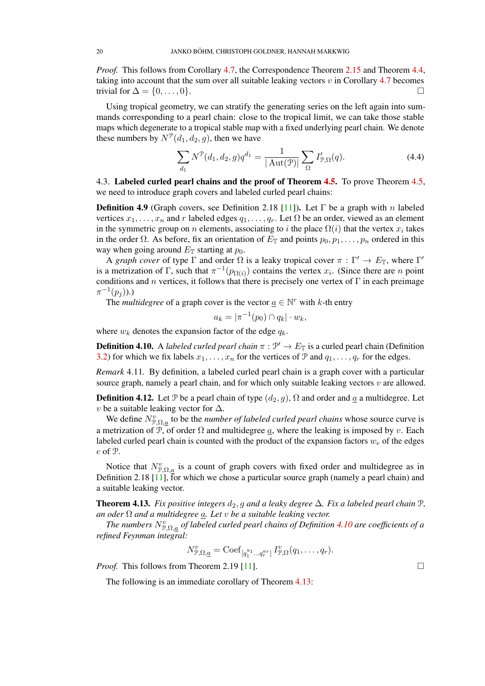*Proof.* This follows from Corollary [4.7,](#page-18-2) the Correspondence Theorem [2.15](#page-11-0) and Theorem [4.4,](#page-17-0) taking into account that the sum over all suitable leaking vectors  $v$  in Corollary [4.7](#page-18-2) becomes trivial for  $\Delta = \{0, \ldots, 0\}.$ 

Using tropical geometry, we can stratify the generating series on the left again into summands corresponding to a pearl chain: close to the tropical limit, we can take those stable maps which degenerate to a tropical stable map with a fixed underlying pearl chain. We denote these numbers by  $N^{\mathcal{P}}(d_1, d_2, g)$ , then we have

$$
\sum_{d_1} N^{\mathcal{P}}(d_1, d_2, g) q^{d_1} = \frac{1}{|\operatorname{Aut}(\mathcal{P})|} \sum_{\Omega} I'_{\mathcal{P}, \Omega}(q). \tag{4.4}
$$

4.3. Labeled curled pearl chains and the proof of Theorem [4.5.](#page-18-1) To prove Theorem [4.5,](#page-18-1) we need to introduce graph covers and labeled curled pearl chains:

**Definition 4.9** (Graph covers, see Definition 2.18 [\[11\]](#page-24-11)). Let  $\Gamma$  be a graph with n labeled vertices  $x_1, \ldots, x_n$  and r labeled edges  $q_1, \ldots, q_r$ . Let  $\Omega$  be an order, viewed as an element in the symmetric group on *n* elements, associating to *i* the place  $\Omega(i)$  that the vertex  $x_i$  takes in the order  $\Omega$ . As before, fix an orientation of  $E_{\mathbb{T}}$  and points  $p_0, p_1, \ldots, p_n$  ordered in this way when going around  $E_{\rm T}$  starting at  $p_0$ .

A *graph cover* of type  $\Gamma$  and order  $\Omega$  is a leaky tropical cover  $\pi : \Gamma' \to E_{\mathbb{T}}$ , where  $\Gamma'$ is a metrization of Γ, such that  $\pi^{-1}(p_{\Omega(i)})$  contains the vertex  $x_i$ . (Since there are *n* point conditions and n vertices, it follows that there is precisely one vertex of  $\Gamma$  in each preimage  $\pi^{-1}(p_j)$ ).)

The *multidegree* of a graph cover is the vector  $\underline{a} \in \mathbb{N}^r$  with k-th entry

$$
a_k = |\pi^{-1}(p_0) \cap q_k| \cdot w_k,
$$

where  $w_k$  denotes the expansion factor of the edge  $q_k$ .

<span id="page-19-0"></span>**Definition 4.10.** A *labeled curled pearl chain*  $\pi$  :  $\mathcal{P}' \to E_{\mathbb{T}}$  is a curled pearl chain (Definition [3.2\)](#page-12-1) for which we fix labels  $x_1, \ldots, x_n$  for the vertices of  $\mathcal P$  and  $q_1, \ldots, q_r$  for the edges.

*Remark* 4.11*.* By definition, a labeled curled pearl chain is a graph cover with a particular source graph, namely a pearl chain, and for which only suitable leaking vectors  $v$  are allowed.

**Definition 4.12.** Let P be a pearl chain of type  $(d_2, q)$ ,  $\Omega$  and order and a a multidegree. Let v be a suitable leaking vector for  $\Delta$ .

We define  $N^v_{\mathcal{P},\Omega,\underline{a}}$  to be the *number of labeled curled pearl chains* whose source curve is a metrization of P, of order  $\Omega$  and multidegree  $\underline{a}$ , where the leaking is imposed by v. Each labeled curled pearl chain is counted with the product of the expansion factors  $w_e$  of the edges e of P.

Notice that  $N_{\mathcal{P},\Omega,\underline{a}}^{v}$  is a count of graph covers with fixed order and multidegree as in Definition 2.18 [\[11\]](#page-24-11), for which we chose a particular source graph (namely a pearl chain) and a suitable leaking vector.

<span id="page-19-1"></span>**Theorem 4.13.** *Fix positive integers*  $d_2$ , g and a leaky degree  $\Delta$ . *Fix a labeled pearl chain*  $\mathcal{P}$ , *an oder* Ω *and a multidegree* a*. Let* v *be a suitable leaking vector.*

*The numbers* N<sup>v</sup> <sup>P</sup>,Ω,a *of labeled curled pearl chains of Definition [4.10](#page-19-0) are coefficients of a refined Feynman integral:*

$$
N_{\mathcal{P},\Omega,\underline{a}}^v = \mathrm{Coef}_{[q_1^{a_1}...q_r^{a_r}]} I_{\mathcal{P},\Omega}^v(q_1,\ldots,q_r).
$$

*Proof.* This follows from Theorem 2.19 [\[11\]](#page-24-11).

The following is an immediate corollary of Theorem [4.13:](#page-19-1)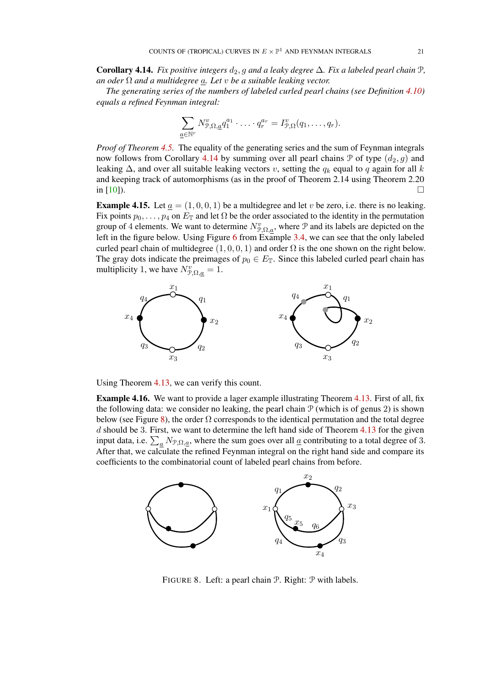<span id="page-20-0"></span>Corollary 4.14. *Fix positive integers*  $d_2$ , g and a leaky degree  $\Delta$ . *Fix a labeled pearl chain*  $\mathcal{P}$ , *an oder* Ω *and a multidegree* a*. Let* v *be a suitable leaking vector.*

*The generating series of the numbers of labeled curled pearl chains (see Definition [4.10\)](#page-19-0) equals a refined Feynman integral:*

$$
\sum_{\underline{a}\in\mathbb{N}^r} N^v_{\mathcal{P},\Omega,\underline{a}}q_1^{a_1}\cdot\ldots\cdot q_r^{a_r}=I^v_{\mathcal{P},\Omega}(q_1,\ldots,q_r).
$$

*Proof of Theorem [4.5.](#page-18-1)* The equality of the generating series and the sum of Feynman integrals now follows from Corollary [4.14](#page-20-0) by summing over all pearl chains  $P$  of type  $(d_2, g)$  and leaking  $\Delta$ , and over all suitable leaking vectors v, setting the  $q_k$  equal to q again for all k and keeping track of automorphisms (as in the proof of Theorem 2.14 using Theorem 2.20 in  $[10]$ ).

<span id="page-20-2"></span>**Example 4.15.** Let  $\underline{a} = (1, 0, 0, 1)$  be a multidegree and let v be zero, i.e. there is no leaking. Fix points  $p_0, \ldots, p_4$  on  $E_{\mathbb{T}}$  and let  $\Omega$  be the order associated to the identity in the permutation group of 4 elements. We want to determine  $N_{\mathcal{P},\Omega,\underline{a}}^v$ , where  $\mathcal P$  and its labels are depicted on the left in the figure below. Using Figure [6](#page-13-0) from Example [3.4,](#page-13-1) we can see that the only labeled curled pearl chain of multidegree  $(1, 0, 0, 1)$  and order  $\Omega$  is the one shown on the right below. The gray dots indicate the preimages of  $p_0 \text{ }\in E_{\mathbb{T}}$ . Since this labeled curled pearl chain has multiplicity 1, we have  $N_{\mathcal{P},\Omega,\underline{a}}^{v} = 1$ .



Using Theorem [4.13,](#page-19-1) we can verify this count.

Example 4.16. We want to provide a lager example illustrating Theorem [4.13.](#page-19-1) First of all, fix the following data: we consider no leaking, the pearl chain  $P$  (which is of genus 2) is shown below (see Figure [8\)](#page-20-1), the order  $\Omega$  corresponds to the identical permutation and the total degree d should be 3. First, we want to determine the left hand side of Theorem [4.13](#page-19-1) for the given input data, i.e.  $\sum_{\underline{a}} N_{\mathcal{P},\Omega,\underline{a}}$ , where the sum goes over all  $\underline{a}$  contributing to a total degree of 3. After that, we calculate the refined Feynman integral on the right hand side and compare its coefficients to the combinatorial count of labeled pearl chains from before.



<span id="page-20-1"></span>FIGURE 8. Left: a pearl chain P. Right: P with labels.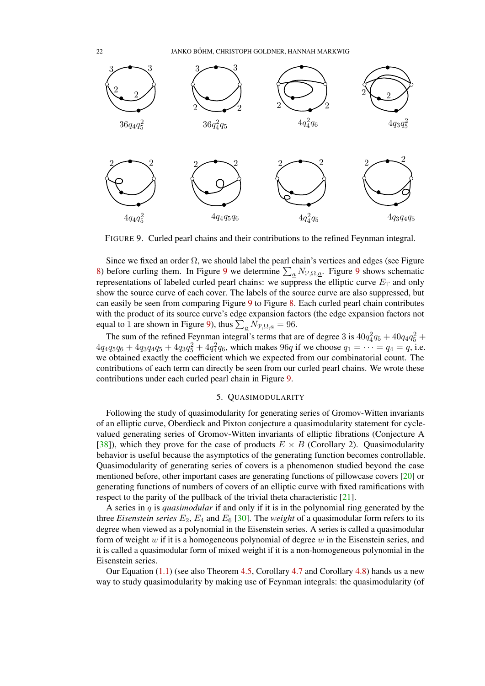

FIGURE 9. Curled pearl chains and their contributions to the refined Feynman integral.

Since we fixed an order  $\Omega$ , we should label the pearl chain's vertices and edges (see Figure [8\)](#page-20-1) before curling them. In Figure [9](#page-21-1) we determine  $\sum_{\underline{a}} N_{\mathcal{P},\Omega,\underline{a}}$ . Figure 9 shows schematic representations of labeled curled pearl chains: we suppress the elliptic curve  $E_{\mathbb{T}}$  and only show the source curve of each cover. The labels of the source curve are also suppressed, but can easily be seen from comparing Figure [9](#page-21-1) to Figure [8.](#page-20-1) Each curled pearl chain contributes with the product of its source curve's edge expansion factors (the edge expansion factors not equal to 1 are shown in Figure [9\)](#page-21-1), thus  $\sum_{\underline{a}} N_{\mathcal{P}, \Omega, \underline{a}} = 96$ .

The sum of the refined Feynman integral's terms that are of degree 3 is  $40q_4^2q_5 + 40q_4q_5^2 +$  $4q_4q_5q_6 + 4q_3q_4q_5 + 4q_3q_5^2 + 4q_4^2q_6$ , which makes 96q if we choose  $q_1 = \cdots = q_4 = q$ , i.e. we obtained exactly the coefficient which we expected from our combinatorial count. The contributions of each term can directly be seen from our curled pearl chains. We wrote these contributions under each curled pearl chain in Figure [9.](#page-21-1)

## <span id="page-21-1"></span>5. QUASIMODULARITY

<span id="page-21-0"></span>Following the study of quasimodularity for generating series of Gromov-Witten invariants of an elliptic curve, Oberdieck and Pixton conjecture a quasimodularity statement for cyclevalued generating series of Gromov-Witten invariants of elliptic fibrations (Conjecture A [\[38\]](#page-25-0)), which they prove for the case of products  $E \times B$  (Corollary 2). Quasimodularity behavior is useful because the asymptotics of the generating function becomes controllable. Quasimodularity of generating series of covers is a phenomenon studied beyond the case mentioned before, other important cases are generating functions of pillowcase covers [\[20\]](#page-24-25) or generating functions of numbers of covers of an elliptic curve with fixed ramifications with respect to the parity of the pullback of the trivial theta characteristic [\[21\]](#page-24-26).

A series in q is *quasimodular* if and only if it is in the polynomial ring generated by the three *Eisenstein series*  $E_2$ ,  $E_4$  and  $E_6$  [\[30\]](#page-24-1). The *weight* of a quasimodular form refers to its degree when viewed as a polynomial in the Eisenstein series. A series is called a quasimodular form of weight  $w$  if it is a homogeneous polynomial of degree  $w$  in the Eisenstein series, and it is called a quasimodular form of mixed weight if it is a non-homogeneous polynomial in the Eisenstein series.

Our Equation [\(1.1\)](#page-0-0) (see also Theorem [4.5,](#page-18-1) Corollary [4.7](#page-18-2) and Corollary [4.8\)](#page-18-0) hands us a new way to study quasimodularity by making use of Feynman integrals: the quasimodularity (of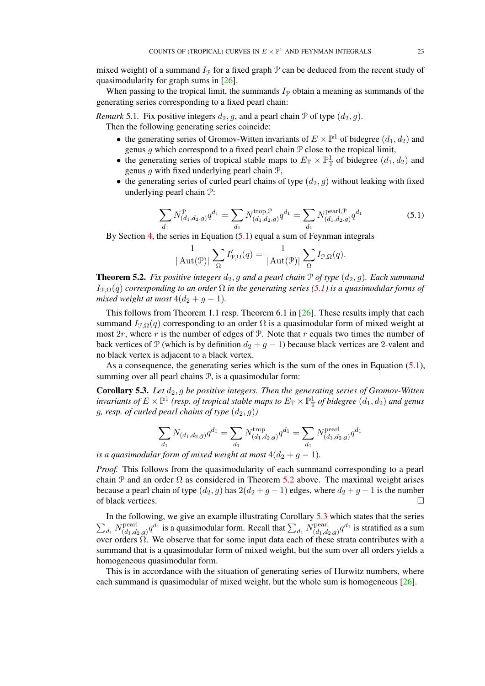mixed weight) of a summand  $I_p$  for a fixed graph  $\mathcal P$  can be deduced from the recent study of quasimodularity for graph sums in [\[26\]](#page-24-27).

When passing to the tropical limit, the summands  $I_p$  obtain a meaning as summands of the generating series corresponding to a fixed pearl chain:

*Remark* 5.1. Fix positive integers  $d_2$ , g, and a pearl chain  $P$  of type  $(d_2, g)$ . Then the following generating series coincide:

- the generating series of Gromov-Witten invariants of  $E \times \mathbb{P}^1$  of bidegree  $(d_1, d_2)$  and genus  $q$  which correspond to a fixed pearl chain  $P$  close to the tropical limit,
- the generating series of tropical stable maps to  $E_{\mathbb{T}} \times \mathbb{P}_{\mathbb{T}}^1$  of bidegree  $(d_1, d_2)$  and genus  $g$  with fixed underlying pearl chain  $P$ ,
- the generating series of curled pearl chains of type  $(d_2, g)$  without leaking with fixed underlying pearl chain P:

<span id="page-22-0"></span>
$$
\sum_{d_1} N_{(d_1, d_2, g)}^{\mathcal{P}} q^{d_1} = \sum_{d_1} N_{(d_1, d_2, g)}^{\text{trop}, \mathcal{P}} q^{d_1} = \sum_{d_1} N_{(d_1, d_2, g)}^{\text{pearl}, \mathcal{P}} q^{d_1} \tag{5.1}
$$

By Section [4,](#page-16-0) the series in Equation [\(5.1\)](#page-22-0) equal a sum of Feynman integrals

$$
\frac{1}{|\operatorname{Aut}(\mathcal{P})|} \sum_{\Omega} I'_{\mathcal{P},\Omega}(q) = \frac{1}{|\operatorname{Aut}(\mathcal{P})|} \sum_{\Omega} I_{\mathcal{P},\Omega}(q).
$$

<span id="page-22-1"></span>**Theorem 5.2.** *Fix positive integers*  $d_2$ , g and a pearl chain  $P$  of type  $(d_2, g)$ . Each summand IP,Ω(q) *corresponding to an order* Ω *in the generating series [\(5.1\)](#page-22-0) is a quasimodular forms of mixed weight at most*  $4(d_2 + q - 1)$ *.* 

This follows from Theorem 1.1 resp. Theorem 6.1 in  $[26]$ . These results imply that each summand  $I_{\mathcal{P},\Omega}(q)$  corresponding to an order  $\Omega$  is a quasimodular form of mixed weight at most  $2r$ , where r is the number of edges of  $\mathcal{P}$ . Note that r equals two times the number of back vertices of P (which is by definition  $d_2 + g - 1$ ) because black vertices are 2-valent and no black vertex is adjacent to a black vertex.

As a consequence, the generating series which is the sum of the ones in Equation [\(5.1\)](#page-22-0), summing over all pearl chains  $P$ , is a quasimodular form:

<span id="page-22-2"></span>Corollary 5.3. Let  $d_2$ , g be positive integers. Then the generating series of Gromov-Witten invariants of  $E\times\mathbb{P}^1$  (resp. of tropical stable maps to  $E_{\mathbb{T}}\times\mathbb{P}^1_{\mathbb{T}}$  of bidegree  $(d_1,d_2)$  and genus g, resp. of curled pearl chains of type  $(d_2, g)$ )

$$
\sum_{d_1} N_{(d_1, d_2, g)} q^{d_1} = \sum_{d_1} N_{(d_1, d_2, g)}^{\text{trop}} q^{d_1} = \sum_{d_1} N_{(d_1, d_2, g)}^{\text{pearl}} q^{d_1}
$$

*is a quasimodular form of mixed weight at most*  $4(d_2 + g - 1)$ *.* 

*Proof.* This follows from the quasimodularity of each summand corresponding to a pearl chain P and an order  $\Omega$  as considered in Theorem [5.2](#page-22-1) above. The maximal weight arises because a pearl chain of type  $(d_2, g)$  has  $2(d_2 + g - 1)$  edges, where  $d_2 + g - 1$  is the number of black vertices.

In the following, we give an example illustrating Corollary [5.3](#page-22-2) which states that the series  $\sum_{d_1} N^{\rm{pearl}}_{(d_1, d)}$  $\sum_{(d_1, d_2, g)} q^{d_1}$  is a quasimodular form. Recall that  $\sum_{d_1} N_{(d_1, d_2)}^{\text{pearl}}$  $\prod_{(d_1,d_2,g)}^{ \text{pearl}} q^{d_1}$  is stratified as a sum  $\frac{d}{dx}$  over orders  $\Omega$ . We observe that for some input data each of these strata contributes with a summand that is a quasimodular form of mixed weight, but the sum over all orders yields a homogeneous quasimodular form.

This is in accordance with the situation of generating series of Hurwitz numbers, where each summand is quasimodular of mixed weight, but the whole sum is homogeneous [\[26\]](#page-24-27).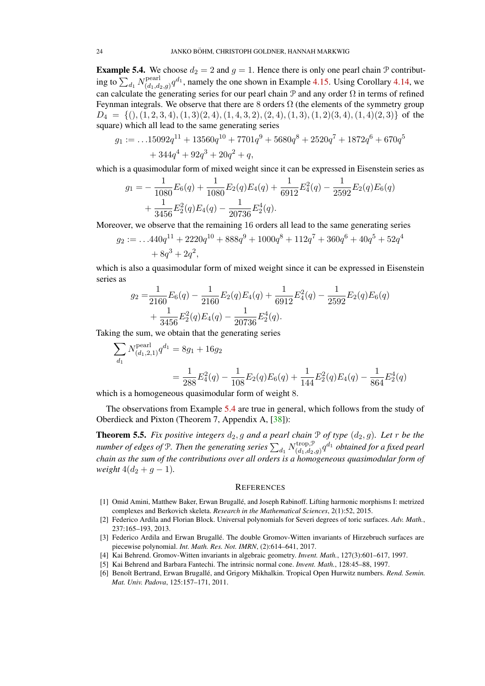<span id="page-23-7"></span>**Example 5.4.** We choose  $d_2 = 2$  and  $g = 1$ . Hence there is only one pearl chain P contributing to  $\sum_{d_1} N^{\rm{pearl}}_{(d_1, d)}$  $\int_{(d_1,d_2,g)}^{(\text{pearl})} q^{d_1}$ , namely the one shown in Example [4.15.](#page-20-2) Using Corollary [4.14,](#page-20-0) we can calculate the generating series for our pearl chain  $\mathcal P$  and any order  $\Omega$  in terms of refined Feynman integrals. We observe that there are 8 orders  $\Omega$  (the elements of the symmetry group  $D_4 = \{(), (1, 2, 3, 4), (1, 3), (2, 4), (1, 4, 3, 2), (2, 4), (1, 3), (1, 2), (3, 4), (1, 4), (2, 3)\}$  of the square) which all lead to the same generating series

$$
g_1 := \dots 15092q^{11} + 13560q^{10} + 7701q^9 + 5680q^8 + 2520q^7 + 1872q^6 + 670q^5
$$
  
+ 344q<sup>4</sup> + 92q<sup>3</sup> + 20q<sup>2</sup> + q,

which is a quasimodular form of mixed weight since it can be expressed in Eisenstein series as

$$
g_1 = -\frac{1}{1080} E_6(q) + \frac{1}{1080} E_2(q) E_4(q) + \frac{1}{6912} E_4^2(q) - \frac{1}{2592} E_2(q) E_6(q) + \frac{1}{3456} E_2^2(q) E_4(q) - \frac{1}{20736} E_2^4(q).
$$

Moreover, we observe that the remaining 16 orders all lead to the same generating series

$$
g_2 := \dots 440q^{11} + 2220q^{10} + 888q^9 + 1000q^8 + 112q^7 + 360q^6 + 40q^5 + 52q^4
$$
  
+  $8q^3 + 2q^2$ ,

which is also a quasimodular form of mixed weight since it can be expressed in Eisenstein series as

$$
g_2 = \frac{1}{2160} E_6(q) - \frac{1}{2160} E_2(q) E_4(q) + \frac{1}{6912} E_4^2(q) - \frac{1}{2592} E_2(q) E_6(q) + \frac{1}{3456} E_2^2(q) E_4(q) - \frac{1}{20736} E_2^4(q).
$$

Taking the sum, we obtain that the generating series

$$
\sum_{d_1} N_{(d_1,2,1)}^{\text{pearl}} q^{d_1} = 8g_1 + 16g_2
$$
  
=  $\frac{1}{288} E_4^2(q) - \frac{1}{108} E_2(q) E_6(q) + \frac{1}{144} E_2^2(q) E_4(q) - \frac{1}{864} E_2^4(q)$ 

which is a homogeneous quasimodular form of weight 8.

The observations from Example [5.4](#page-23-7) are true in general, which follows from the study of Oberdieck and Pixton (Theorem 7, Appendix A, [\[38\]](#page-25-0)):

<span id="page-23-0"></span>**Theorem 5.5.** Fix positive integers  $d_2$ , g and a pearl chain  $\mathcal{P}$  of type  $(d_2, g)$ . Let r be the number of edges of P. Then the generating series  $\sum_{d_1} N^{\mathrm{trop}, \mathcal{P}}_{(d_1, d_2)}$  $\frac{\text{trop}, \mathcal{P}}{(d_1, d_2, g)} q^{d_1}$  *obtained for a fixed pearl chain as the sum of the contributions over all orders is a homogeneous quasimodular form of weight*  $4(d_2 + q - 1)$ *.* 

### **REFERENCES**

- <span id="page-23-6"></span>[1] Omid Amini, Matthew Baker, Erwan Brugalle, and Joseph Rabinoff. Lifting harmonic morphisms I: metrized ´ complexes and Berkovich skeleta. *Research in the Mathematical Sciences*, 2(1):52, 2015.
- <span id="page-23-2"></span>[2] Federico Ardila and Florian Block. Universal polynomials for Severi degrees of toric surfaces. *Adv. Math.*, 237:165–193, 2013.
- <span id="page-23-1"></span>[3] Federico Ardila and Erwan Brugallé. The double Gromov-Witten invariants of Hirzebruch surfaces are piecewise polynomial. *Int. Math. Res. Not. IMRN*, (2):614–641, 2017.
- <span id="page-23-4"></span>[4] Kai Behrend. Gromov-Witten invariants in algebraic geometry. *Invent. Math.*, 127(3):601–617, 1997.
- <span id="page-23-5"></span>[5] Kai Behrend and Barbara Fantechi. The intrinsic normal cone. *Invent. Math.*, 128:45–88, 1997.
- <span id="page-23-3"></span>[6] Benoît Bertrand, Erwan Brugallé, and Grigory Mikhalkin. Tropical Open Hurwitz numbers. Rend. Semin. *Mat. Univ. Padova*, 125:157–171, 2011.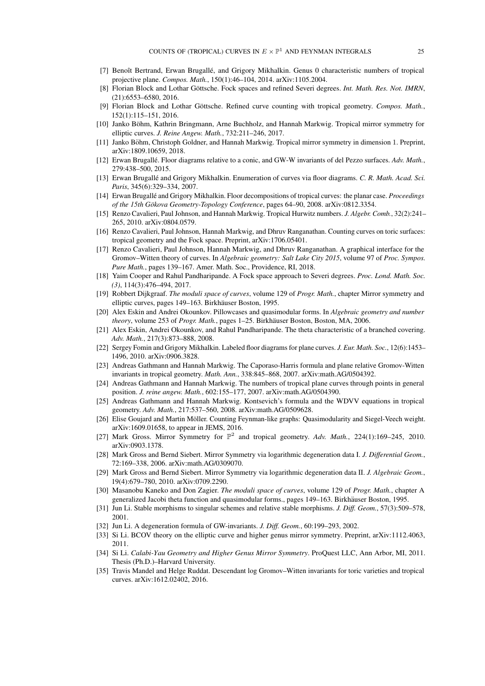- <span id="page-24-2"></span>[7] Benoît Bertrand, Erwan Brugallé, and Grigory Mikhalkin. Genus 0 characteristic numbers of tropical projective plane. *Compos. Math.*, 150(1):46–104, 2014. arXiv:1105.2004.
- <span id="page-24-9"></span>[8] Florian Block and Lothar Göttsche. Fock spaces and refined Severi degrees. *Int. Math. Res. Not. IMRN*, (21):6553–6580, 2016.
- <span id="page-24-3"></span>[9] Florian Block and Lothar Göttsche. Refined curve counting with tropical geometry. *Compos. Math.*, 152(1):115–151, 2016.
- <span id="page-24-17"></span>[10] Janko Bohm, Kathrin Bringmann, Arne Buchholz, and Hannah Markwig. Tropical mirror symmetry for ¨ elliptic curves. *J. Reine Angew. Math.*, 732:211–246, 2017.
- <span id="page-24-11"></span>[11] Janko Böhm, Christoph Goldner, and Hannah Markwig. Tropical mirror symmetry in dimension 1. Preprint, arXiv:1809.10659, 2018.
- <span id="page-24-4"></span>[12] Erwan Brugallé. Floor diagrams relative to a conic, and GW-W invariants of del Pezzo surfaces. *Adv. Math.*, 279:438–500, 2015.
- <span id="page-24-7"></span>[13] Erwan Brugallé and Grigory Mikhalkin. Enumeration of curves via floor diagrams. C. R. Math. Acad. Sci. *Paris*, 345(6):329–334, 2007.
- <span id="page-24-24"></span>[14] Erwan Brugallé and Grigory Mikhalkin. Floor decompositions of tropical curves: the planar case. *Proceedings of the 15th Gökova Geometry-Topology Conference*, pages 64–90, 2008. arXiv:0812.3354.
- <span id="page-24-15"></span>[15] Renzo Cavalieri, Paul Johnson, and Hannah Markwig. Tropical Hurwitz numbers. *J. Algebr. Comb.*, 32(2):241– 265, 2010. arXiv:0804.0579.
- <span id="page-24-5"></span>[16] Renzo Cavalieri, Paul Johnson, Hannah Markwig, and Dhruv Ranganathan. Counting curves on toric surfaces: tropical geometry and the Fock space. Preprint, arXiv:1706.05401.
- <span id="page-24-12"></span>[17] Renzo Cavalieri, Paul Johnson, Hannah Markwig, and Dhruv Ranganathan. A graphical interface for the Gromov–Witten theory of curves. In *Algebraic geometry: Salt Lake City 2015*, volume 97 of *Proc. Sympos. Pure Math.*, pages 139–167. Amer. Math. Soc., Providence, RI, 2018.
- <span id="page-24-10"></span>[18] Yaim Cooper and Rahul Pandharipande. A Fock space approach to Severi degrees. *Proc. Lond. Math. Soc. (3)*, 114(3):476–494, 2017.
- <span id="page-24-0"></span>[19] Robbert Dijkgraaf. *The moduli space of curves*, volume 129 of *Progr. Math.*, chapter Mirror symmetry and elliptic curves, pages 149–163. Birkhäuser Boston, 1995.
- <span id="page-24-25"></span>[20] Alex Eskin and Andrei Okounkov. Pillowcases and quasimodular forms. In *Algebraic geometry and number theory*, volume 253 of *Progr. Math.*, pages 1–25. Birkhäuser Boston, Boston, MA, 2006.
- <span id="page-24-26"></span>[21] Alex Eskin, Andrei Okounkov, and Rahul Pandharipande. The theta characteristic of a branched covering. *Adv. Math.*, 217(3):873–888, 2008.
- <span id="page-24-8"></span>[22] Sergey Fomin and Grigory Mikhalkin. Labeled floor diagrams for plane curves. *J. Eur. Math. Soc.*, 12(6):1453– 1496, 2010. arXiv:0906.3828.
- <span id="page-24-22"></span>[23] Andreas Gathmann and Hannah Markwig. The Caporaso-Harris formula and plane relative Gromov-Witten invariants in tropical geometry. *Math. Ann.*, 338:845–868, 2007. arXiv:math.AG/0504392.
- [24] Andreas Gathmann and Hannah Markwig. The numbers of tropical plane curves through points in general position. *J. reine angew. Math.*, 602:155–177, 2007. arXiv:math.AG/0504390.
- <span id="page-24-23"></span>[25] Andreas Gathmann and Hannah Markwig. Kontsevich's formula and the WDVV equations in tropical geometry. *Adv. Math.*, 217:537–560, 2008. arXiv:math.AG/0509628.
- <span id="page-24-27"></span>[26] Elise Goujard and Martin Möller. Counting Feynman-like graphs: Quasimodularity and Siegel-Veech weight. arXiv:1609.01658, to appear in JEMS, 2016.
- <span id="page-24-16"></span>[27] Mark Gross. Mirror Symmetry for  $\mathbb{P}^2$  and tropical geometry. Adv. Math., 224(1):169-245, 2010. arXiv:0903.1378.
- <span id="page-24-13"></span>[28] Mark Gross and Bernd Siebert. Mirror Symmetry via logarithmic degeneration data I. *J. Differential Geom.*, 72:169–338, 2006. arXiv:math.AG/0309070.
- <span id="page-24-14"></span>[29] Mark Gross and Bernd Siebert. Mirror Symmetry via logarithmic degeneration data II. *J. Algebraic Geom.*, 19(4):679–780, 2010. arXiv:0709.2290.
- <span id="page-24-1"></span>[30] Masanobu Kaneko and Don Zagier. *The moduli space of curves*, volume 129 of *Progr. Math.*, chapter A generalized Jacobi theta function and quasimodular forms., pages 149–163. Birkhäuser Boston, 1995.
- <span id="page-24-21"></span>[31] Jun Li. Stable morphisms to singular schemes and relative stable morphisms. *J. Diff. Geom.*, 57(3):509–578, 2001.
- <span id="page-24-6"></span>[32] Jun Li. A degeneration formula of GW-invariants. *J. Diff. Geom.*, 60:199–293, 2002.
- <span id="page-24-19"></span>[33] Si Li. BCOV theory on the elliptic curve and higher genus mirror symmetry. Preprint, arXiv:1112.4063, 2011.
- <span id="page-24-20"></span>[34] Si Li. *Calabi-Yau Geometry and Higher Genus Mirror Symmetry*. ProQuest LLC, Ann Arbor, MI, 2011. Thesis (Ph.D.)–Harvard University.
- <span id="page-24-18"></span>[35] Travis Mandel and Helge Ruddat. Descendant log Gromov–Witten invariants for toric varieties and tropical curves. arXiv:1612.02402, 2016.